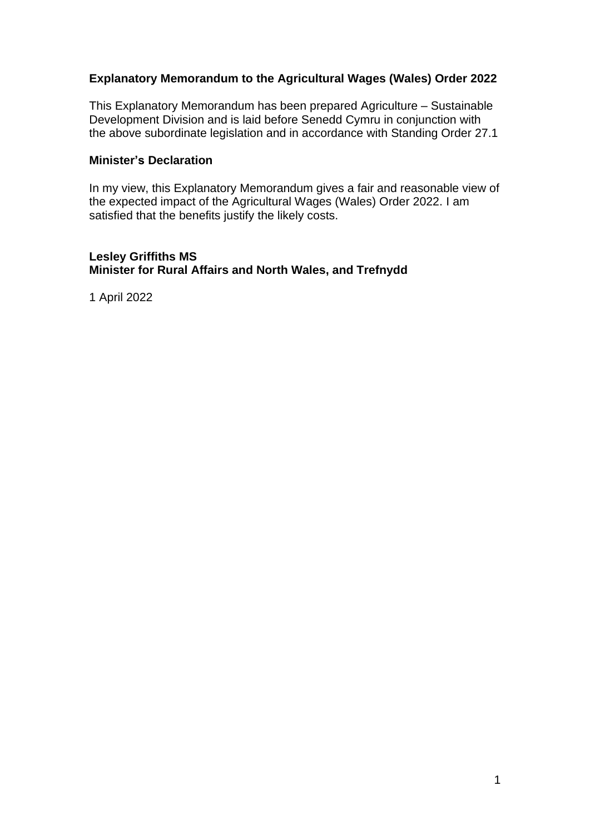## **Explanatory Memorandum to the Agricultural Wages (Wales) Order 2022**

This Explanatory Memorandum has been prepared Agriculture – Sustainable Development Division and is laid before Senedd Cymru in conjunction with the above subordinate legislation and in accordance with Standing Order 27.1

#### **Minister's Declaration**

In my view, this Explanatory Memorandum gives a fair and reasonable view of the expected impact of the Agricultural Wages (Wales) Order 2022. I am satisfied that the benefits justify the likely costs.

#### **Lesley Griffiths MS Minister for Rural Affairs and North Wales, and Trefnydd**

1 April 2022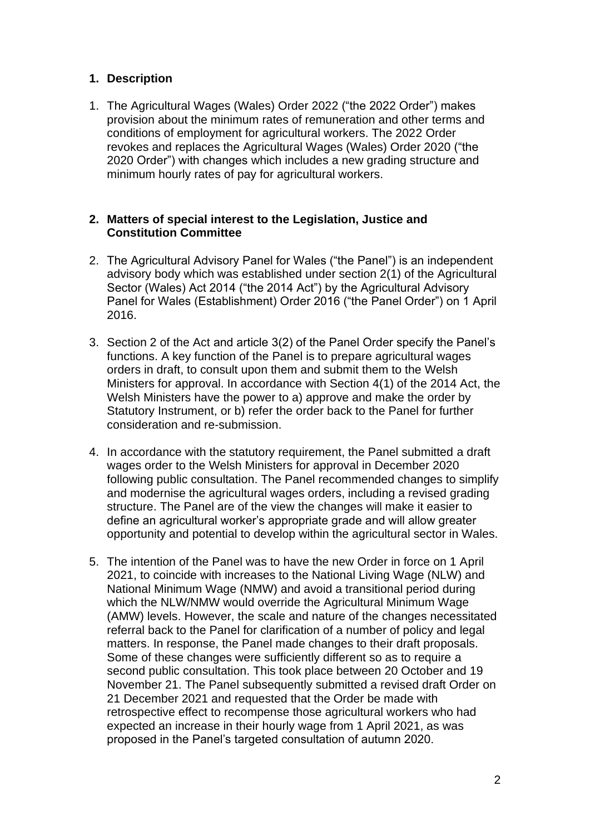## **1. Description**

1. The Agricultural Wages (Wales) Order 2022 ("the 2022 Order") makes provision about the minimum rates of remuneration and other terms and conditions of employment for agricultural workers. The 2022 Order revokes and replaces the Agricultural Wages (Wales) Order 2020 ("the 2020 Order") with changes which includes a new grading structure and minimum hourly rates of pay for agricultural workers.

#### **2. Matters of special interest to the Legislation, Justice and Constitution Committee**

- 2. The Agricultural Advisory Panel for Wales ("the Panel") is an independent advisory body which was established under section 2(1) of the Agricultural Sector (Wales) Act 2014 ("the 2014 Act") by the Agricultural Advisory Panel for Wales (Establishment) Order 2016 ("the Panel Order") on 1 April 2016.
- 3. Section 2 of the Act and article 3(2) of the Panel Order specify the Panel's functions. A key function of the Panel is to prepare agricultural wages orders in draft, to consult upon them and submit them to the Welsh Ministers for approval. In accordance with Section 4(1) of the 2014 Act, the Welsh Ministers have the power to a) approve and make the order by Statutory Instrument, or b) refer the order back to the Panel for further consideration and re-submission.
- 4. In accordance with the statutory requirement, the Panel submitted a draft wages order to the Welsh Ministers for approval in December 2020 following public consultation. The Panel recommended changes to simplify and modernise the agricultural wages orders, including a revised grading structure. The Panel are of the view the changes will make it easier to define an agricultural worker's appropriate grade and will allow greater opportunity and potential to develop within the agricultural sector in Wales.
- 5. The intention of the Panel was to have the new Order in force on 1 April 2021, to coincide with increases to the National Living Wage (NLW) and National Minimum Wage (NMW) and avoid a transitional period during which the NLW/NMW would override the Agricultural Minimum Wage (AMW) levels. However, the scale and nature of the changes necessitated referral back to the Panel for clarification of a number of policy and legal matters. In response, the Panel made changes to their draft proposals. Some of these changes were sufficiently different so as to require a second public consultation. This took place between 20 October and 19 November 21. The Panel subsequently submitted a revised draft Order on 21 December 2021 and requested that the Order be made with retrospective effect to recompense those agricultural workers who had expected an increase in their hourly wage from 1 April 2021, as was proposed in the Panel's targeted consultation of autumn 2020.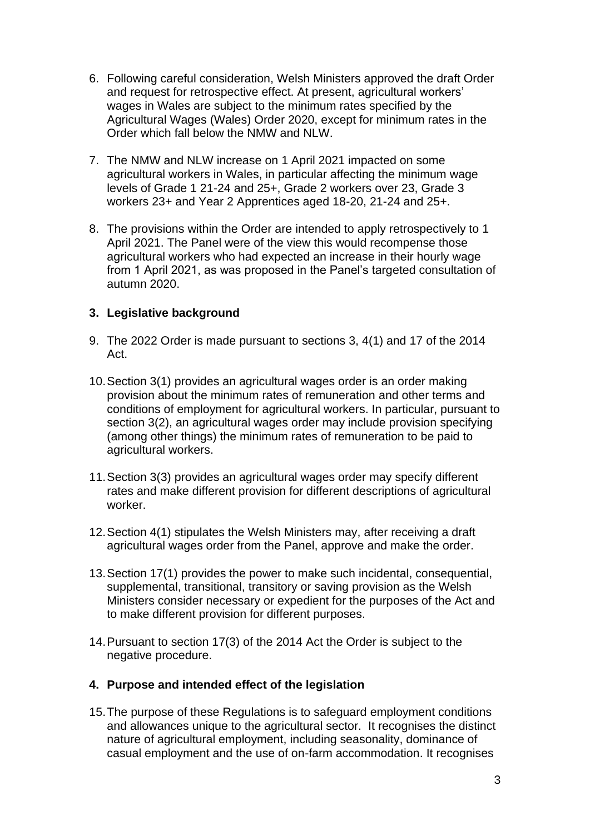- 6. Following careful consideration, Welsh Ministers approved the draft Order and request for retrospective effect. At present, agricultural workers' wages in Wales are subject to the minimum rates specified by the Agricultural Wages (Wales) Order 2020, except for minimum rates in the Order which fall below the NMW and NLW.
- 7. The NMW and NLW increase on 1 April 2021 impacted on some agricultural workers in Wales, in particular affecting the minimum wage levels of Grade 1 21-24 and 25+, Grade 2 workers over 23, Grade 3 workers 23+ and Year 2 Apprentices aged 18-20, 21-24 and 25+.
- 8. The provisions within the Order are intended to apply retrospectively to 1 April 2021. The Panel were of the view this would recompense those agricultural workers who had expected an increase in their hourly wage from 1 April 2021, as was proposed in the Panel's targeted consultation of autumn 2020.

## **3. Legislative background**

- 9. The 2022 Order is made pursuant to sections 3, 4(1) and 17 of the 2014 Act.
- 10.Section 3(1) provides an agricultural wages order is an order making provision about the minimum rates of remuneration and other terms and conditions of employment for agricultural workers. In particular, pursuant to section 3(2), an agricultural wages order may include provision specifying (among other things) the minimum rates of remuneration to be paid to agricultural workers.
- 11.Section 3(3) provides an agricultural wages order may specify different rates and make different provision for different descriptions of agricultural worker.
- 12.Section 4(1) stipulates the Welsh Ministers may, after receiving a draft agricultural wages order from the Panel, approve and make the order.
- 13.Section 17(1) provides the power to make such incidental, consequential, supplemental, transitional, transitory or saving provision as the Welsh Ministers consider necessary or expedient for the purposes of the Act and to make different provision for different purposes.
- 14.Pursuant to section 17(3) of the 2014 Act the Order is subject to the negative procedure.

#### **4. Purpose and intended effect of the legislation**

15.The purpose of these Regulations is to safeguard employment conditions and allowances unique to the agricultural sector. It recognises the distinct nature of agricultural employment, including seasonality, dominance of casual employment and the use of on-farm accommodation. It recognises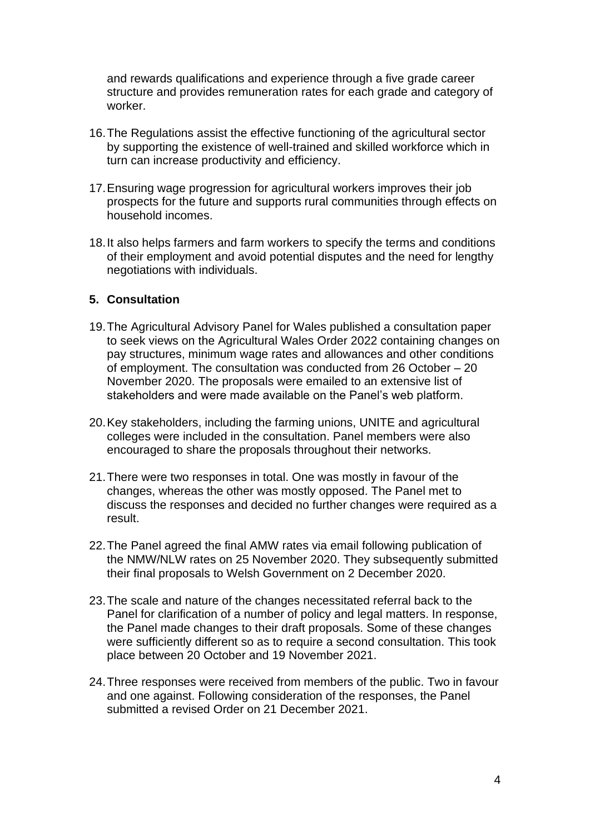and rewards qualifications and experience through a five grade career structure and provides remuneration rates for each grade and category of worker.

- 16.The Regulations assist the effective functioning of the agricultural sector by supporting the existence of well-trained and skilled workforce which in turn can increase productivity and efficiency.
- 17.Ensuring wage progression for agricultural workers improves their job prospects for the future and supports rural communities through effects on household incomes.
- 18.It also helps farmers and farm workers to specify the terms and conditions of their employment and avoid potential disputes and the need for lengthy negotiations with individuals.

#### **5. Consultation**

- 19.The Agricultural Advisory Panel for Wales published a consultation paper to seek views on the Agricultural Wales Order 2022 containing changes on pay structures, minimum wage rates and allowances and other conditions of employment. The consultation was conducted from 26 October – 20 November 2020. The proposals were emailed to an extensive list of stakeholders and were made available on the Panel's web platform.
- 20.Key stakeholders, including the farming unions, UNITE and agricultural colleges were included in the consultation. Panel members were also encouraged to share the proposals throughout their networks.
- 21.There were two responses in total. One was mostly in favour of the changes, whereas the other was mostly opposed. The Panel met to discuss the responses and decided no further changes were required as a result.
- 22.The Panel agreed the final AMW rates via email following publication of the NMW/NLW rates on 25 November 2020. They subsequently submitted their final proposals to Welsh Government on 2 December 2020.
- 23.The scale and nature of the changes necessitated referral back to the Panel for clarification of a number of policy and legal matters. In response, the Panel made changes to their draft proposals. Some of these changes were sufficiently different so as to require a second consultation. This took place between 20 October and 19 November 2021.
- 24.Three responses were received from members of the public. Two in favour and one against. Following consideration of the responses, the Panel submitted a revised Order on 21 December 2021.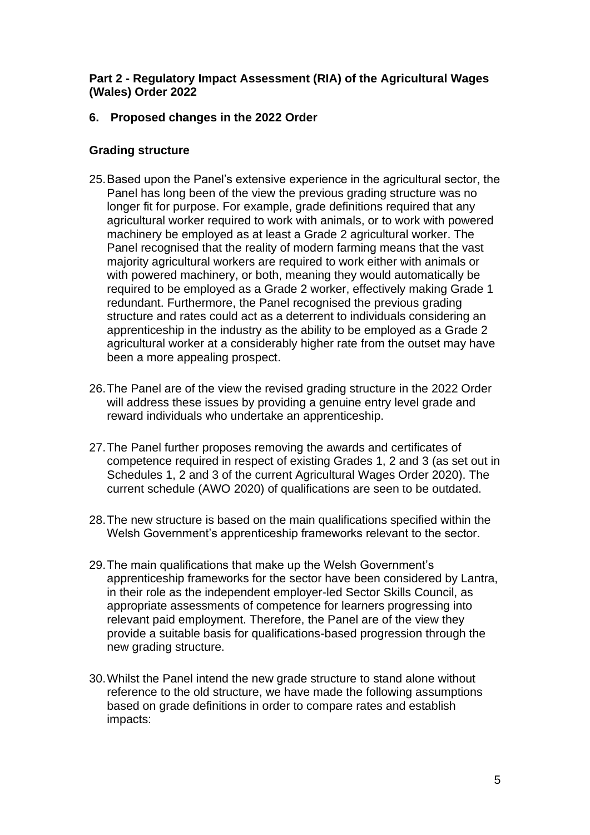### **Part 2 - Regulatory Impact Assessment (RIA) of the Agricultural Wages (Wales) Order 2022**

## **6. Proposed changes in the 2022 Order**

## **Grading structure**

- 25.Based upon the Panel's extensive experience in the agricultural sector, the Panel has long been of the view the previous grading structure was no longer fit for purpose. For example, grade definitions required that any agricultural worker required to work with animals, or to work with powered machinery be employed as at least a Grade 2 agricultural worker. The Panel recognised that the reality of modern farming means that the vast majority agricultural workers are required to work either with animals or with powered machinery, or both, meaning they would automatically be required to be employed as a Grade 2 worker, effectively making Grade 1 redundant. Furthermore, the Panel recognised the previous grading structure and rates could act as a deterrent to individuals considering an apprenticeship in the industry as the ability to be employed as a Grade 2 agricultural worker at a considerably higher rate from the outset may have been a more appealing prospect.
- 26.The Panel are of the view the revised grading structure in the 2022 Order will address these issues by providing a genuine entry level grade and reward individuals who undertake an apprenticeship.
- 27.The Panel further proposes removing the awards and certificates of competence required in respect of existing Grades 1, 2 and 3 (as set out in Schedules 1, 2 and 3 of the current Agricultural Wages Order 2020). The current schedule (AWO 2020) of qualifications are seen to be outdated.
- 28.The new structure is based on the main qualifications specified within the Welsh Government's apprenticeship frameworks relevant to the sector.
- 29.The main qualifications that make up the Welsh Government's apprenticeship frameworks for the sector have been considered by Lantra, in their role as the independent employer-led Sector Skills Council, as appropriate assessments of competence for learners progressing into relevant paid employment. Therefore, the Panel are of the view they provide a suitable basis for qualifications-based progression through the new grading structure.
- 30.Whilst the Panel intend the new grade structure to stand alone without reference to the old structure, we have made the following assumptions based on grade definitions in order to compare rates and establish impacts: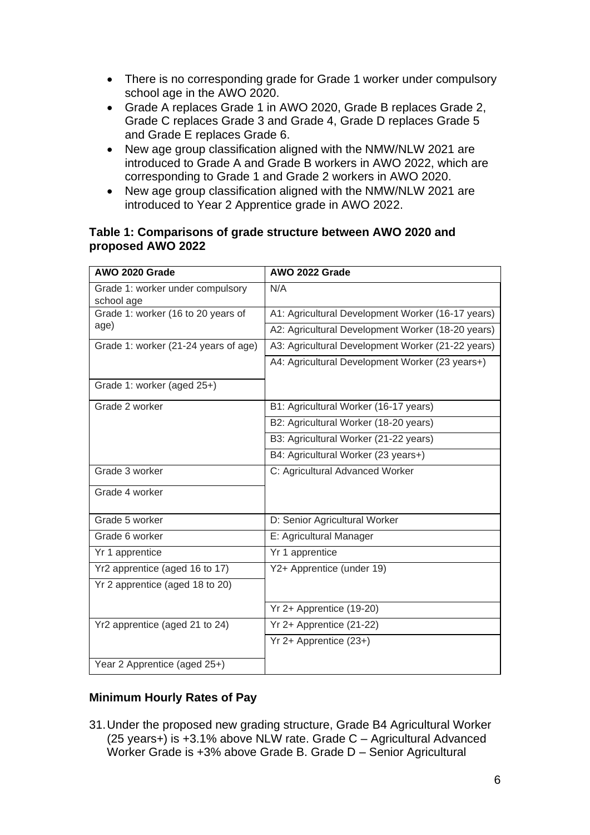- There is no corresponding grade for Grade 1 worker under compulsory school age in the AWO 2020.
- Grade A replaces Grade 1 in AWO 2020, Grade B replaces Grade 2, Grade C replaces Grade 3 and Grade 4, Grade D replaces Grade 5 and Grade E replaces Grade 6.
- New age group classification aligned with the NMW/NLW 2021 are introduced to Grade A and Grade B workers in AWO 2022, which are corresponding to Grade 1 and Grade 2 workers in AWO 2020.
- New age group classification aligned with the NMW/NLW 2021 are introduced to Year 2 Apprentice grade in AWO 2022.

#### **Table 1: Comparisons of grade structure between AWO 2020 and proposed AWO 2022**

| AWO 2020 Grade                                 | AWO 2022 Grade                                    |
|------------------------------------------------|---------------------------------------------------|
| Grade 1: worker under compulsory<br>school age | N/A                                               |
| Grade 1: worker (16 to 20 years of             | A1: Agricultural Development Worker (16-17 years) |
| age)                                           | A2: Agricultural Development Worker (18-20 years) |
| Grade 1: worker (21-24 years of age)           | A3: Agricultural Development Worker (21-22 years) |
|                                                | A4: Agricultural Development Worker (23 years+)   |
| Grade 1: worker (aged 25+)                     |                                                   |
| Grade 2 worker                                 | B1: Agricultural Worker (16-17 years)             |
|                                                | B2: Agricultural Worker (18-20 years)             |
|                                                | B3: Agricultural Worker (21-22 years)             |
|                                                | B4: Agricultural Worker (23 years+)               |
| Grade 3 worker                                 | C: Agricultural Advanced Worker                   |
| Grade 4 worker                                 |                                                   |
| Grade 5 worker                                 | D: Senior Agricultural Worker                     |
| Grade 6 worker                                 | E: Agricultural Manager                           |
| Yr 1 apprentice                                | Yr 1 apprentice                                   |
| Yr2 apprentice (aged 16 to 17)                 | Y2+ Apprentice (under 19)                         |
| Yr 2 apprentice (aged 18 to 20)                |                                                   |
|                                                | Yr 2+ Apprentice (19-20)                          |
| Yr2 apprentice (aged 21 to 24)                 | Yr 2+ Apprentice (21-22)                          |
|                                                | Yr 2+ Apprentice (23+)                            |
| Year 2 Apprentice (aged 25+)                   |                                                   |

## **Minimum Hourly Rates of Pay**

31.Under the proposed new grading structure, Grade B4 Agricultural Worker (25 years+) is +3.1% above NLW rate. Grade C – Agricultural Advanced Worker Grade is +3% above Grade B. Grade D – Senior Agricultural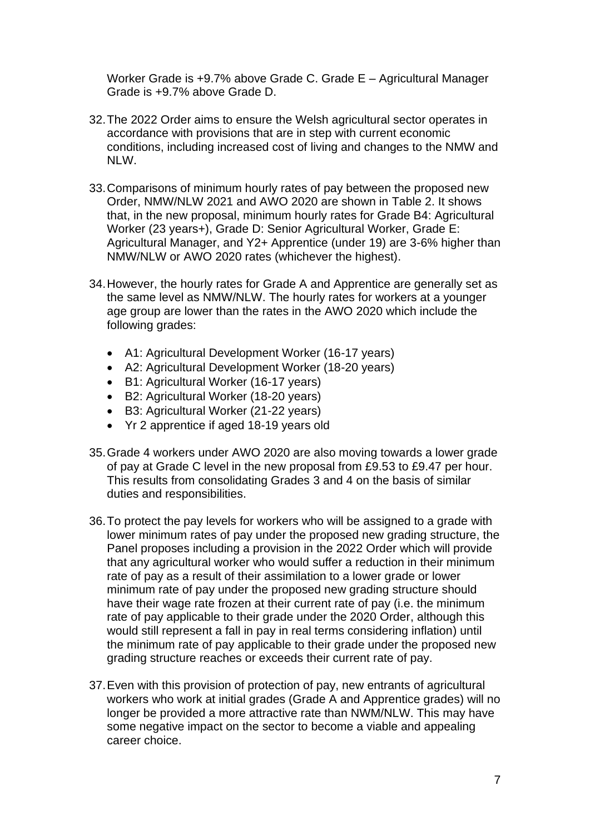Worker Grade is +9.7% above Grade C. Grade E – Agricultural Manager Grade is +9.7% above Grade D.

- 32.The 2022 Order aims to ensure the Welsh agricultural sector operates in accordance with provisions that are in step with current economic conditions, including increased cost of living and changes to the NMW and NLW.
- 33.Comparisons of minimum hourly rates of pay between the proposed new Order, NMW/NLW 2021 and AWO 2020 are shown in Table 2. It shows that, in the new proposal, minimum hourly rates for Grade B4: Agricultural Worker (23 years+), Grade D: Senior Agricultural Worker, Grade E: Agricultural Manager, and Y2+ Apprentice (under 19) are 3-6% higher than NMW/NLW or AWO 2020 rates (whichever the highest).
- 34.However, the hourly rates for Grade A and Apprentice are generally set as the same level as NMW/NLW. The hourly rates for workers at a younger age group are lower than the rates in the AWO 2020 which include the following grades:
	- A1: Agricultural Development Worker (16-17 years)
	- A2: Agricultural Development Worker (18-20 years)
	- B1: Agricultural Worker (16-17 years)
	- B2: Agricultural Worker (18-20 years)
	- B3: Agricultural Worker (21-22 years)
	- Yr 2 apprentice if aged 18-19 years old
- 35.Grade 4 workers under AWO 2020 are also moving towards a lower grade of pay at Grade C level in the new proposal from £9.53 to £9.47 per hour. This results from consolidating Grades 3 and 4 on the basis of similar duties and responsibilities.
- 36.To protect the pay levels for workers who will be assigned to a grade with lower minimum rates of pay under the proposed new grading structure, the Panel proposes including a provision in the 2022 Order which will provide that any agricultural worker who would suffer a reduction in their minimum rate of pay as a result of their assimilation to a lower grade or lower minimum rate of pay under the proposed new grading structure should have their wage rate frozen at their current rate of pay (i.e. the minimum rate of pay applicable to their grade under the 2020 Order, although this would still represent a fall in pay in real terms considering inflation) until the minimum rate of pay applicable to their grade under the proposed new grading structure reaches or exceeds their current rate of pay.
- 37.Even with this provision of protection of pay, new entrants of agricultural workers who work at initial grades (Grade A and Apprentice grades) will no longer be provided a more attractive rate than NWM/NLW. This may have some negative impact on the sector to become a viable and appealing career choice.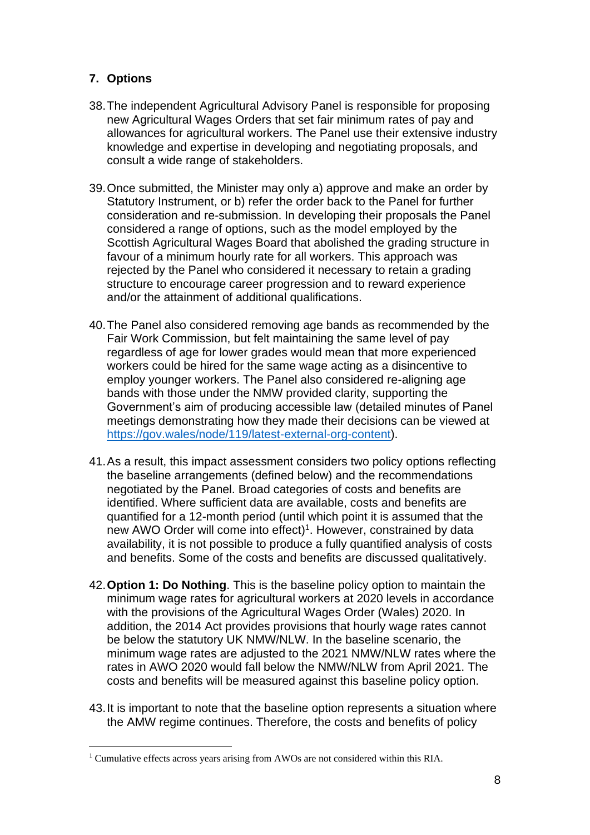## **7. Options**

- 38.The independent Agricultural Advisory Panel is responsible for proposing new Agricultural Wages Orders that set fair minimum rates of pay and allowances for agricultural workers. The Panel use their extensive industry knowledge and expertise in developing and negotiating proposals, and consult a wide range of stakeholders.
- 39.Once submitted, the Minister may only a) approve and make an order by Statutory Instrument, or b) refer the order back to the Panel for further consideration and re-submission. In developing their proposals the Panel considered a range of options, such as the model employed by the Scottish Agricultural Wages Board that abolished the grading structure in favour of a minimum hourly rate for all workers. This approach was rejected by the Panel who considered it necessary to retain a grading structure to encourage career progression and to reward experience and/or the attainment of additional qualifications.
- 40.The Panel also considered removing age bands as recommended by the Fair Work Commission, but felt maintaining the same level of pay regardless of age for lower grades would mean that more experienced workers could be hired for the same wage acting as a disincentive to employ younger workers. The Panel also considered re-aligning age bands with those under the NMW provided clarity, supporting the Government's aim of producing accessible law (detailed minutes of Panel meetings demonstrating how they made their decisions can be viewed at [https://gov.wales/node/119/latest-external-org-content\)](https://gov.wales/node/119/latest-external-org-content).
- 41.As a result, this impact assessment considers two policy options reflecting the baseline arrangements (defined below) and the recommendations negotiated by the Panel. Broad categories of costs and benefits are identified. Where sufficient data are available, costs and benefits are quantified for a 12-month period (until which point it is assumed that the new AWO Order will come into effect)<sup>1</sup>. However, constrained by data availability, it is not possible to produce a fully quantified analysis of costs and benefits. Some of the costs and benefits are discussed qualitatively.
- 42.**Option 1: Do Nothing**. This is the baseline policy option to maintain the minimum wage rates for agricultural workers at 2020 levels in accordance with the provisions of the Agricultural Wages Order (Wales) 2020. In addition, the 2014 Act provides provisions that hourly wage rates cannot be below the statutory UK NMW/NLW. In the baseline scenario, the minimum wage rates are adjusted to the 2021 NMW/NLW rates where the rates in AWO 2020 would fall below the NMW/NLW from April 2021. The costs and benefits will be measured against this baseline policy option.
- 43.It is important to note that the baseline option represents a situation where the AMW regime continues. Therefore, the costs and benefits of policy

<sup>&</sup>lt;sup>1</sup> Cumulative effects across years arising from AWOs are not considered within this RIA.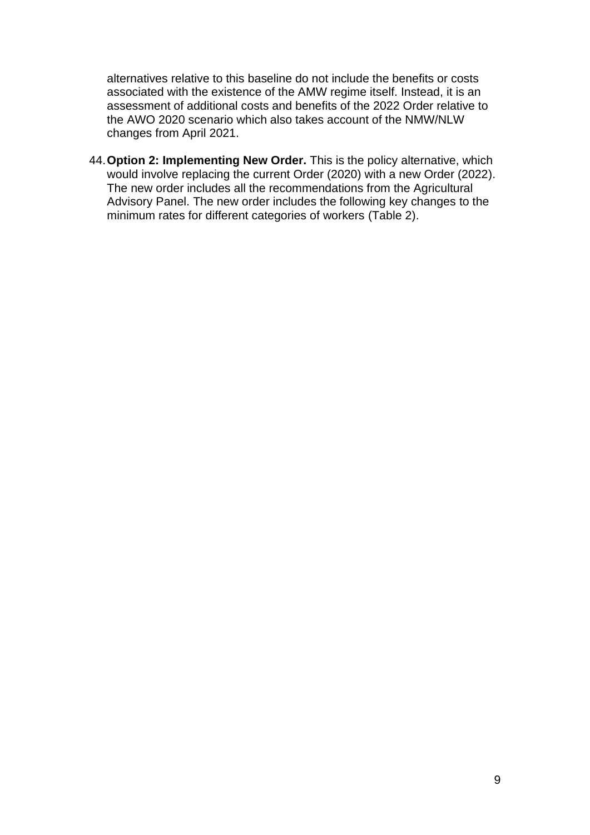alternatives relative to this baseline do not include the benefits or costs associated with the existence of the AMW regime itself. Instead, it is an assessment of additional costs and benefits of the 2022 Order relative to the AWO 2020 scenario which also takes account of the NMW/NLW changes from April 2021.

44.**Option 2: Implementing New Order.** This is the policy alternative, which would involve replacing the current Order (2020) with a new Order (2022). The new order includes all the recommendations from the Agricultural Advisory Panel. The new order includes the following key changes to the minimum rates for different categories of workers [\(Table 2\)](#page-9-0).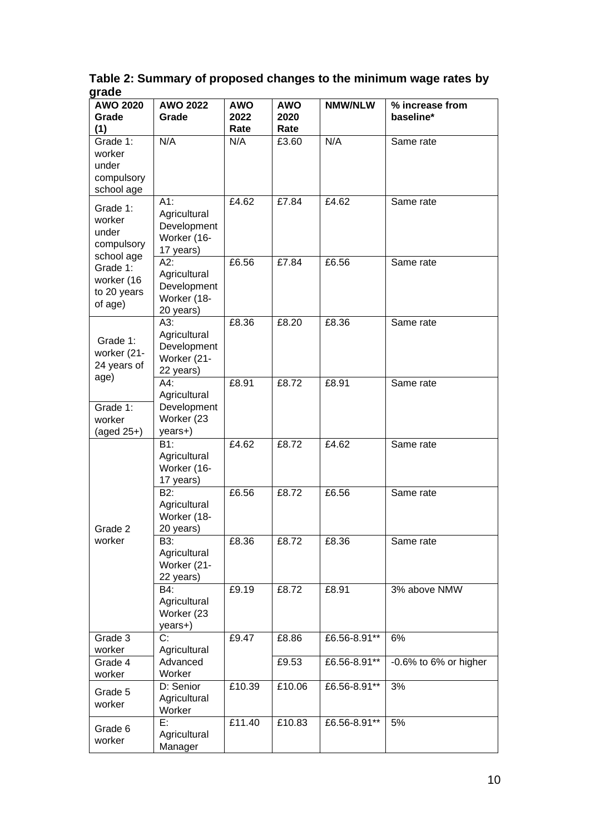<span id="page-9-0"></span>**Table 2: Summary of proposed changes to the minimum wage rates by grade**

| <b>AWO 2020</b><br>Grade<br>(1)                         | <b>AWO 2022</b><br>Grade                                       | <b>AWO</b><br>2022<br>Rate | <b>AWO</b><br>2020<br>Rate | <b>NMW/NLW</b> | % increase from<br>baseline* |
|---------------------------------------------------------|----------------------------------------------------------------|----------------------------|----------------------------|----------------|------------------------------|
| Grade 1:<br>worker<br>under<br>compulsory<br>school age | N/A                                                            | N/A                        | £3.60                      | N/A            | Same rate                    |
| Grade 1:<br>worker<br>under<br>compulsory<br>school age | A1:<br>Agricultural<br>Development<br>Worker (16-<br>17 years) | £4.62                      | £7.84                      | £4.62          | Same rate                    |
| Grade 1:<br>worker (16<br>to 20 years<br>of age)        | A2:<br>Agricultural<br>Development<br>Worker (18-<br>20 years) | £6.56                      | £7.84                      | £6.56          | Same rate                    |
| Grade 1:<br>worker (21-<br>24 years of<br>age)          | A3:<br>Agricultural<br>Development<br>Worker (21-<br>22 years) | £8.36                      | £8.20                      | £8.36          | Same rate                    |
| Grade 1:<br>worker                                      | A4:<br>Agricultural<br>Development<br>Worker (23               | £8.91                      | £8.72                      | £8.91          | Same rate                    |
| (aged $25+$ )                                           | years+)                                                        |                            |                            |                |                              |
|                                                         | B1:<br>Agricultural<br>Worker (16-<br>17 years)                | £4.62                      | £8.72                      | £4.62          | Same rate                    |
| Grade 2                                                 | B2:<br>Agricultural<br>Worker (18-<br>20 years)                | £6.56                      | £8.72                      | £6.56          | Same rate                    |
| worker                                                  | B3:<br>Agricultural<br>Worker (21-<br>22 years)                | £8.36                      | £8.72                      | £8.36          | Same rate                    |
|                                                         | B4:<br>Agricultural<br>Worker (23<br>years+)                   | £9.19                      | £8.72                      | £8.91          | 3% above NMW                 |
| Grade 3                                                 | C:                                                             | £9.47                      | £8.86                      | £6.56-8.91**   | 6%                           |
| worker<br>Grade 4<br>worker                             | Agricultural<br>Advanced<br>Worker                             |                            | £9.53                      | £6.56-8.91**   | -0.6% to 6% or higher        |
| Grade 5<br>worker                                       | D: Senior<br>Agricultural<br>Worker                            | £10.39                     | £10.06                     | £6.56-8.91**   | 3%                           |
| Grade 6<br>worker                                       | E:<br>Agricultural<br>Manager                                  | £11.40                     | £10.83                     | £6.56-8.91**   | 5%                           |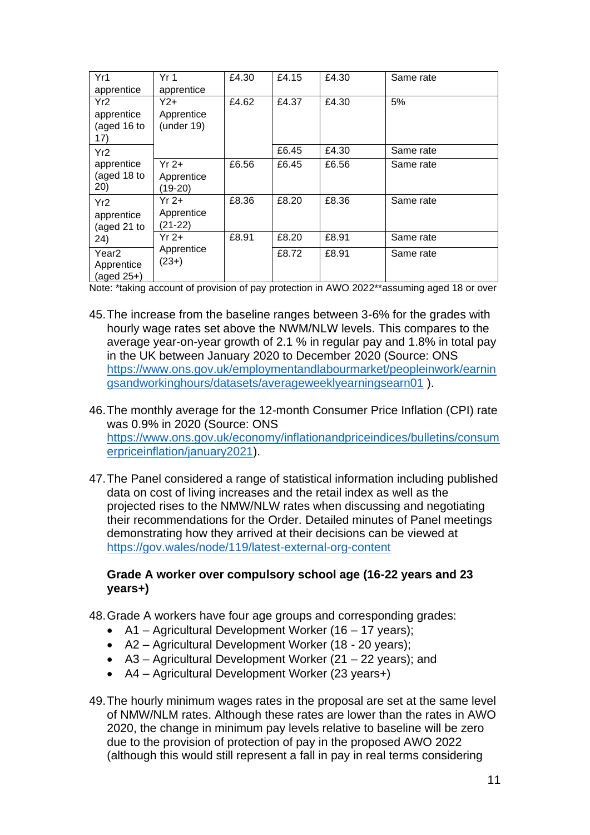| Yr1                                          | Yr <sub>1</sub>                   | £4.30 | £4.15 | £4.30 | Same rate |
|----------------------------------------------|-----------------------------------|-------|-------|-------|-----------|
| apprentice                                   | apprentice                        |       |       |       |           |
| Yr2<br>apprentice<br>(aged 16 to<br>17)      | $Y2+$<br>Apprentice<br>(under 19) | £4.62 | £4.37 | £4.30 | 5%        |
| Yr <sub>2</sub>                              |                                   |       | £6.45 | £4.30 | Same rate |
| apprentice<br>(aged 18 to<br>20)             | $Yr2+$<br>Apprentice<br>(19-20)   | £6.56 | £6.45 | £6.56 | Same rate |
| Yr <sub>2</sub><br>apprentice<br>(aged 21 to | $Yr2+$<br>Apprentice<br>(21-22)   | £8.36 | £8.20 | £8.36 | Same rate |
| 24)                                          | $Yr$ 2+                           | £8.91 | £8.20 | £8.91 | Same rate |
| Year2<br>Apprentice<br>(aged $25+$ )         | Apprentice<br>$(23+)$             |       | £8.72 | £8.91 | Same rate |

Note: \*taking account of provision of pay protection in AWO 2022\*\*assuming aged 18 or over

- 45.The increase from the baseline ranges between 3-6% for the grades with hourly wage rates set above the NWM/NLW levels. This compares to the average year-on-year growth of 2.1 % in regular pay and 1.8% in total pay in the UK between January 2020 to December 2020 (Source: ONS [https://www.ons.gov.uk/employmentandlabourmarket/peopleinwork/earnin](https://www.ons.gov.uk/employmentandlabourmarket/peopleinwork/earningsandworkinghours/datasets/averageweeklyearningsearn01) [gsandworkinghours/datasets/averageweeklyearningsearn01](https://www.ons.gov.uk/employmentandlabourmarket/peopleinwork/earningsandworkinghours/datasets/averageweeklyearningsearn01) ).
- 46.The monthly average for the 12-month Consumer Price Inflation (CPI) rate was 0.9% in 2020 (Source: ONS [https://www.ons.gov.uk/economy/inflationandpriceindices/bulletins/consum](https://www.ons.gov.uk/economy/inflationandpriceindices/bulletins/consumerpriceinflation/january2021) [erpriceinflation/january2021\)](https://www.ons.gov.uk/economy/inflationandpriceindices/bulletins/consumerpriceinflation/january2021).
- 47.The Panel considered a range of statistical information including published data on cost of living increases and the retail index as well as the projected rises to the NMW/NLW rates when discussing and negotiating their recommendations for the Order. Detailed minutes of Panel meetings demonstrating how they arrived at their decisions can be viewed at <https://gov.wales/node/119/latest-external-org-content>

#### **Grade A worker over compulsory school age (16-22 years and 23 years+)**

- 48.Grade A workers have four age groups and corresponding grades:
	- A1 Agricultural Development Worker (16 17 years);
	- A2 Agricultural Development Worker (18 20 years);
	- A3 Agricultural Development Worker (21 22 years); and
	- A4 Agricultural Development Worker (23 years+)
- 49.The hourly minimum wages rates in the proposal are set at the same level of NMW/NLM rates. Although these rates are lower than the rates in AWO 2020, the change in minimum pay levels relative to baseline will be zero due to the provision of protection of pay in the proposed AWO 2022 (although this would still represent a fall in pay in real terms considering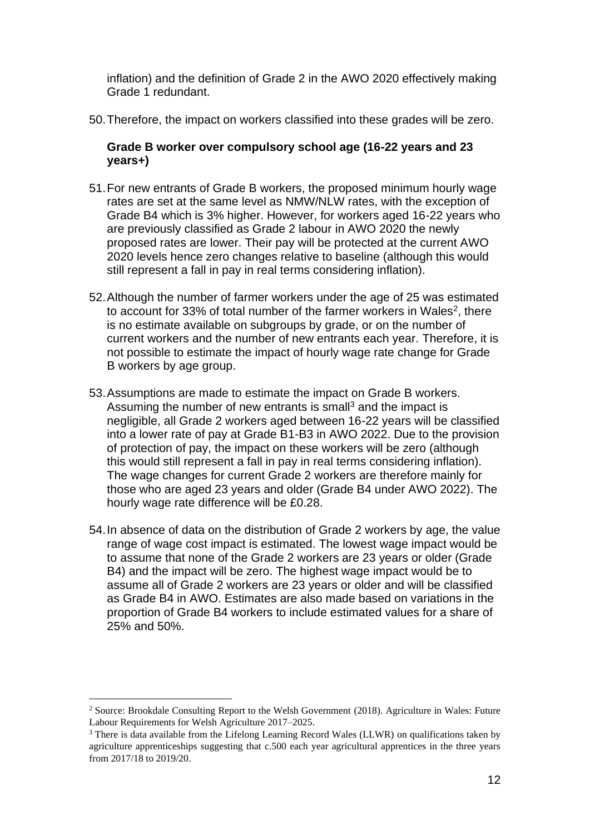inflation) and the definition of Grade 2 in the AWO 2020 effectively making Grade 1 redundant.

50.Therefore, the impact on workers classified into these grades will be zero.

#### **Grade B worker over compulsory school age (16-22 years and 23 years+)**

- 51.For new entrants of Grade B workers, the proposed minimum hourly wage rates are set at the same level as NMW/NLW rates, with the exception of Grade B4 which is 3% higher. However, for workers aged 16-22 years who are previously classified as Grade 2 labour in AWO 2020 the newly proposed rates are lower. Their pay will be protected at the current AWO 2020 levels hence zero changes relative to baseline (although this would still represent a fall in pay in real terms considering inflation).
- 52.Although the number of farmer workers under the age of 25 was estimated to account for 33% of total number of the farmer workers in Wales<sup>2</sup>, there is no estimate available on subgroups by grade, or on the number of current workers and the number of new entrants each year. Therefore, it is not possible to estimate the impact of hourly wage rate change for Grade B workers by age group.
- 53.Assumptions are made to estimate the impact on Grade B workers. Assuming the number of new entrants is small<sup>3</sup> and the impact is negligible, all Grade 2 workers aged between 16-22 years will be classified into a lower rate of pay at Grade B1-B3 in AWO 2022. Due to the provision of protection of pay, the impact on these workers will be zero (although this would still represent a fall in pay in real terms considering inflation). The wage changes for current Grade 2 workers are therefore mainly for those who are aged 23 years and older (Grade B4 under AWO 2022). The hourly wage rate difference will be £0.28.
- 54.In absence of data on the distribution of Grade 2 workers by age, the value range of wage cost impact is estimated. The lowest wage impact would be to assume that none of the Grade 2 workers are 23 years or older (Grade B4) and the impact will be zero. The highest wage impact would be to assume all of Grade 2 workers are 23 years or older and will be classified as Grade B4 in AWO. Estimates are also made based on variations in the proportion of Grade B4 workers to include estimated values for a share of 25% and 50%.

<sup>&</sup>lt;sup>2</sup> Source: Brookdale Consulting Report to the Welsh Government (2018). Agriculture in Wales: Future Labour Requirements for Welsh Agriculture 2017–2025.

<sup>&</sup>lt;sup>3</sup> There is data available from the Lifelong Learning Record Wales (LLWR) on qualifications taken by agriculture apprenticeships suggesting that c.500 each year agricultural apprentices in the three years from 2017/18 to 2019/20.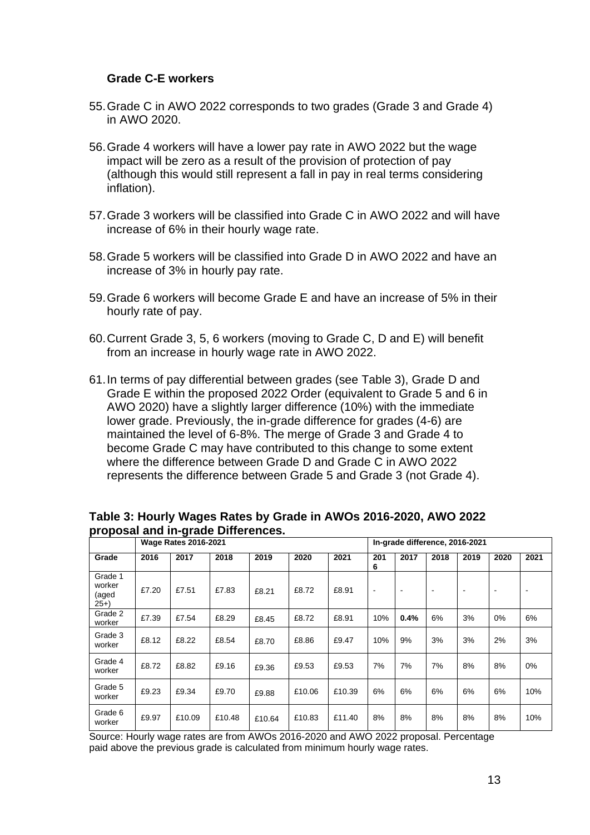#### **Grade C-E workers**

- 55.Grade C in AWO 2022 corresponds to two grades (Grade 3 and Grade 4) in AWO 2020.
- 56.Grade 4 workers will have a lower pay rate in AWO 2022 but the wage impact will be zero as a result of the provision of protection of pay (although this would still represent a fall in pay in real terms considering inflation).
- 57.Grade 3 workers will be classified into Grade C in AWO 2022 and will have increase of 6% in their hourly wage rate.
- 58.Grade 5 workers will be classified into Grade D in AWO 2022 and have an increase of 3% in hourly pay rate.
- 59.Grade 6 workers will become Grade E and have an increase of 5% in their hourly rate of pay.
- 60.Current Grade 3, 5, 6 workers (moving to Grade C, D and E) will benefit from an increase in hourly wage rate in AWO 2022.
- 61.In terms of pay differential between grades (see [Table 3\)](#page-12-0), Grade D and Grade E within the proposed 2022 Order (equivalent to Grade 5 and 6 in AWO 2020) have a slightly larger difference (10%) with the immediate lower grade. Previously, the in-grade difference for grades (4-6) are maintained the level of 6-8%. The merge of Grade 3 and Grade 4 to become Grade C may have contributed to this change to some extent where the difference between Grade D and Grade C in AWO 2022 represents the difference between Grade 5 and Grade 3 (not Grade 4).

|                                     | <b>Wage Rates 2016-2021</b> |        |        |        |        | In-grade difference, 2016-2021 |                          |                          |                          |      |      |      |
|-------------------------------------|-----------------------------|--------|--------|--------|--------|--------------------------------|--------------------------|--------------------------|--------------------------|------|------|------|
| Grade                               | 2016                        | 2017   | 2018   | 2019   | 2020   | 2021                           | 201<br>6                 | 2017                     | 2018                     | 2019 | 2020 | 2021 |
| Grade 1<br>worker<br>(aged<br>$25+$ | £7.20                       | £7.51  | £7.83  | £8.21  | £8.72  | £8.91                          | $\overline{\phantom{0}}$ | $\overline{\phantom{a}}$ | $\overline{\phantom{a}}$ | -    |      |      |
| Grade 2<br>worker                   | £7.39                       | £7.54  | £8.29  | £8.45  | £8.72  | £8.91                          | 10%                      | 0.4%                     | 6%                       | 3%   | 0%   | 6%   |
| Grade 3<br>worker                   | £8.12                       | £8.22  | £8.54  | £8.70  | £8.86  | £9.47                          | 10%                      | 9%                       | 3%                       | 3%   | 2%   | 3%   |
| Grade 4<br>worker                   | £8.72                       | £8.82  | £9.16  | £9.36  | £9.53  | £9.53                          | 7%                       | 7%                       | 7%                       | 8%   | 8%   | 0%   |
| Grade 5<br>worker                   | £9.23                       | £9.34  | £9.70  | £9.88  | £10.06 | £10.39                         | 6%                       | 6%                       | 6%                       | 6%   | 6%   | 10%  |
| Grade 6<br>worker                   | £9.97                       | £10.09 | £10.48 | £10.64 | £10.83 | £11.40                         | 8%                       | 8%                       | 8%                       | 8%   | 8%   | 10%  |

<span id="page-12-0"></span>**Table 3: Hourly Wages Rates by Grade in AWOs 2016-2020, AWO 2022 proposal and in-grade Differences.**

Source: Hourly wage rates are from AWOs 2016-2020 and AWO 2022 proposal. Percentage paid above the previous grade is calculated from minimum hourly wage rates.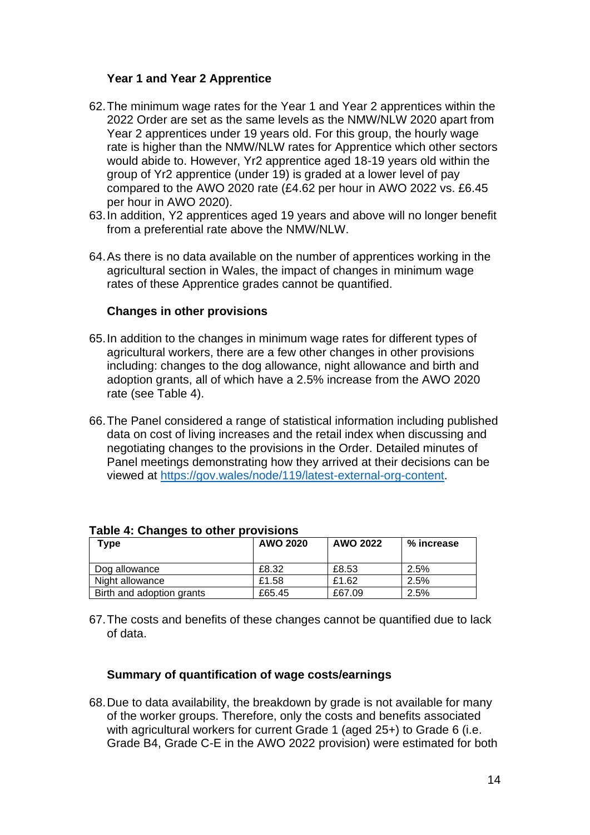### **Year 1 and Year 2 Apprentice**

- 62.The minimum wage rates for the Year 1 and Year 2 apprentices within the 2022 Order are set as the same levels as the NMW/NLW 2020 apart from Year 2 apprentices under 19 years old. For this group, the hourly wage rate is higher than the NMW/NLW rates for Apprentice which other sectors would abide to. However, Yr2 apprentice aged 18-19 years old within the group of Yr2 apprentice (under 19) is graded at a lower level of pay compared to the AWO 2020 rate (£4.62 per hour in AWO 2022 vs. £6.45 per hour in AWO 2020).
- 63.In addition, Y2 apprentices aged 19 years and above will no longer benefit from a preferential rate above the NMW/NLW.
- 64.As there is no data available on the number of apprentices working in the agricultural section in Wales, the impact of changes in minimum wage rates of these Apprentice grades cannot be quantified.

#### **Changes in other provisions**

- 65.In addition to the changes in minimum wage rates for different types of agricultural workers, there are a few other changes in other provisions including: changes to the dog allowance, night allowance and birth and adoption grants, all of which have a 2.5% increase from the AWO 2020 rate (see [Table 4\)](#page-13-0).
- 66.The Panel considered a range of statistical information including published data on cost of living increases and the retail index when discussing and negotiating changes to the provisions in the Order. Detailed minutes of Panel meetings demonstrating how they arrived at their decisions can be viewed at [https://gov.wales/node/119/latest-external-org-content.](https://gov.wales/node/119/latest-external-org-content)

| Type                      | AWO 2020 | AWO 2022 | % increase |
|---------------------------|----------|----------|------------|
| Dog allowance             | £8.32    | £8.53    | 2.5%       |
| Night allowance           | £1.58    | £1.62    | $2.5\%$    |
| Birth and adoption grants | £65.45   | £67.09   | 2.5%       |

#### <span id="page-13-0"></span>**Table 4: Changes to other provisions**

67.The costs and benefits of these changes cannot be quantified due to lack of data.

#### **Summary of quantification of wage costs/earnings**

68.Due to data availability, the breakdown by grade is not available for many of the worker groups. Therefore, only the costs and benefits associated with agricultural workers for current Grade 1 (aged 25+) to Grade 6 (i.e. Grade B4, Grade C-E in the AWO 2022 provision) were estimated for both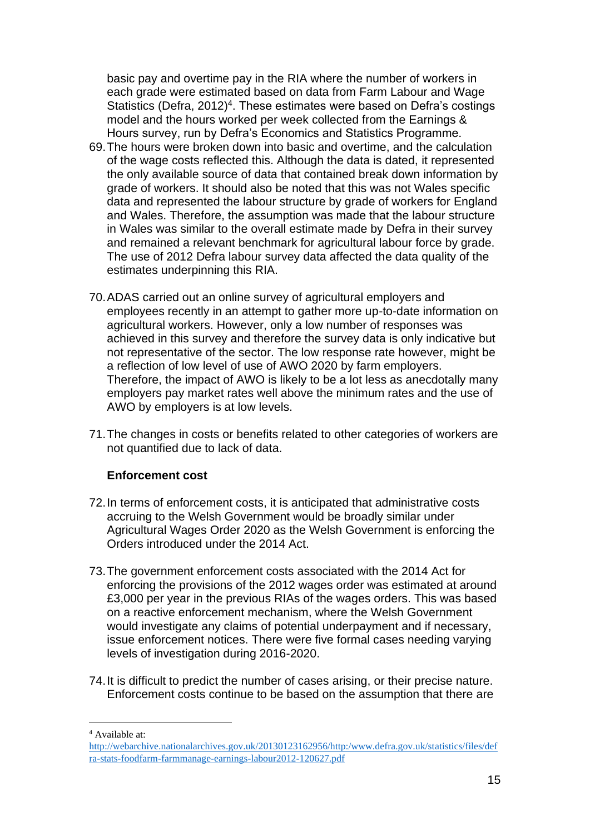basic pay and overtime pay in the RIA where the number of workers in each grade were estimated based on data from Farm Labour and Wage Statistics (Defra, 2012)<sup>4</sup>. These estimates were based on Defra's costings model and the hours worked per week collected from the Earnings & Hours survey, run by Defra's Economics and Statistics Programme.

- 69.The hours were broken down into basic and overtime, and the calculation of the wage costs reflected this. Although the data is dated, it represented the only available source of data that contained break down information by grade of workers. It should also be noted that this was not Wales specific data and represented the labour structure by grade of workers for England and Wales. Therefore, the assumption was made that the labour structure in Wales was similar to the overall estimate made by Defra in their survey and remained a relevant benchmark for agricultural labour force by grade. The use of 2012 Defra labour survey data affected the data quality of the estimates underpinning this RIA.
- 70.ADAS carried out an online survey of agricultural employers and employees recently in an attempt to gather more up-to-date information on agricultural workers. However, only a low number of responses was achieved in this survey and therefore the survey data is only indicative but not representative of the sector. The low response rate however, might be a reflection of low level of use of AWO 2020 by farm employers. Therefore, the impact of AWO is likely to be a lot less as anecdotally many employers pay market rates well above the minimum rates and the use of AWO by employers is at low levels.
- 71.The changes in costs or benefits related to other categories of workers are not quantified due to lack of data.

#### **Enforcement cost**

- 72.In terms of enforcement costs, it is anticipated that administrative costs accruing to the Welsh Government would be broadly similar under Agricultural Wages Order 2020 as the Welsh Government is enforcing the Orders introduced under the 2014 Act.
- 73.The government enforcement costs associated with the 2014 Act for enforcing the provisions of the 2012 wages order was estimated at around £3,000 per year in the previous RIAs of the wages orders. This was based on a reactive enforcement mechanism, where the Welsh Government would investigate any claims of potential underpayment and if necessary, issue enforcement notices. There were five formal cases needing varying levels of investigation during 2016-2020.
- 74.It is difficult to predict the number of cases arising, or their precise nature. Enforcement costs continue to be based on the assumption that there are

<sup>4</sup> Available at:

[http://webarchive.nationalarchives.gov.uk/20130123162956/http:/www.defra.gov.uk/statistics/files/def](http://webarchive.nationalarchives.gov.uk/20130123162956/http:/www.defra.gov.uk/statistics/files/defra-stats-foodfarm-farmmanage-earnings-labour2012-120627.pdf) [ra-stats-foodfarm-farmmanage-earnings-labour2012-120627.pdf](http://webarchive.nationalarchives.gov.uk/20130123162956/http:/www.defra.gov.uk/statistics/files/defra-stats-foodfarm-farmmanage-earnings-labour2012-120627.pdf)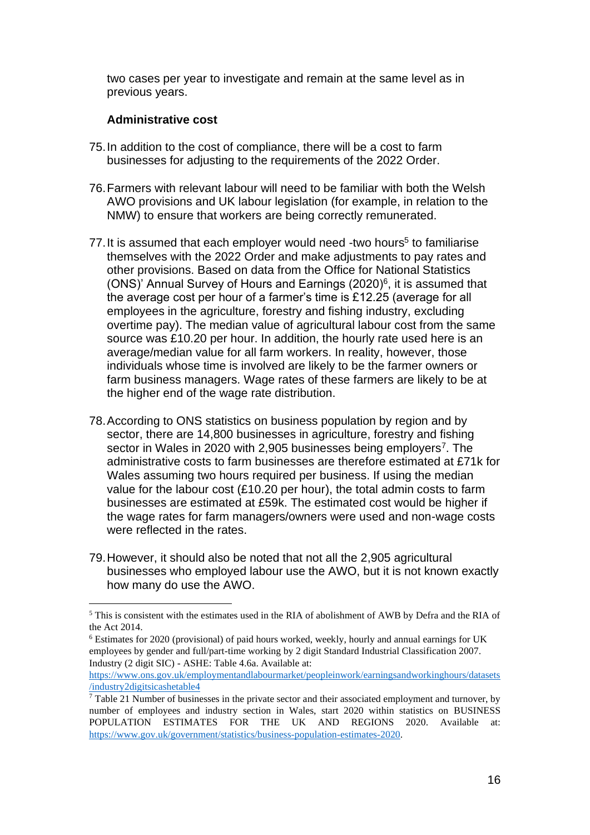two cases per year to investigate and remain at the same level as in previous years.

## **Administrative cost**

- 75.In addition to the cost of compliance, there will be a cost to farm businesses for adjusting to the requirements of the 2022 Order.
- 76.Farmers with relevant labour will need to be familiar with both the Welsh AWO provisions and UK labour legislation (for example, in relation to the NMW) to ensure that workers are being correctly remunerated.
- 77. It is assumed that each employer would need -two hours<sup>5</sup> to familiarise themselves with the 2022 Order and make adjustments to pay rates and other provisions. Based on data from the Office for National Statistics (ONS)' Annual Survey of Hours and Earnings (2020)<sup>6</sup>, it is assumed that the average cost per hour of a farmer's time is £12.25 (average for all employees in the agriculture, forestry and fishing industry, excluding overtime pay). The median value of agricultural labour cost from the same source was £10.20 per hour. In addition, the hourly rate used here is an average/median value for all farm workers. In reality, however, those individuals whose time is involved are likely to be the farmer owners or farm business managers. Wage rates of these farmers are likely to be at the higher end of the wage rate distribution.
- 78.According to ONS statistics on business population by region and by sector, there are 14,800 businesses in agriculture, forestry and fishing sector in Wales in 2020 with 2,905 businesses being employers<sup>7</sup>. The administrative costs to farm businesses are therefore estimated at £71k for Wales assuming two hours required per business. If using the median value for the labour cost (£10.20 per hour), the total admin costs to farm businesses are estimated at £59k. The estimated cost would be higher if the wage rates for farm managers/owners were used and non-wage costs were reflected in the rates.
- 79.However, it should also be noted that not all the 2,905 agricultural businesses who employed labour use the AWO, but it is not known exactly how many do use the AWO.

<sup>5</sup> This is consistent with the estimates used in the RIA of abolishment of AWB by Defra and the RIA of the Act 2014.

<sup>6</sup> Estimates for 2020 (provisional) of paid hours worked, weekly, hourly and annual earnings for UK employees by gender and full/part-time working by 2 digit Standard Industrial Classification 2007. Industry (2 digit SIC) - ASHE: Table 4.6a. Available at:

[https://www.ons.gov.uk/employmentandlabourmarket/peopleinwork/earningsandworkinghours/datasets](https://www.ons.gov.uk/employmentandlabourmarket/peopleinwork/earningsandworkinghours/datasets/industry2digitsicashetable4) [/industry2digitsicashetable4](https://www.ons.gov.uk/employmentandlabourmarket/peopleinwork/earningsandworkinghours/datasets/industry2digitsicashetable4)

 $<sup>7</sup>$  Table 21 Number of businesses in the private sector and their associated employment and turnover, by</sup> number of employees and industry section in Wales, start 2020 within statistics on BUSINESS POPULATION ESTIMATES FOR THE UK AND REGIONS 2020. Available at: https://www.gov.uk/government/statistics/business-population-estimates-2020.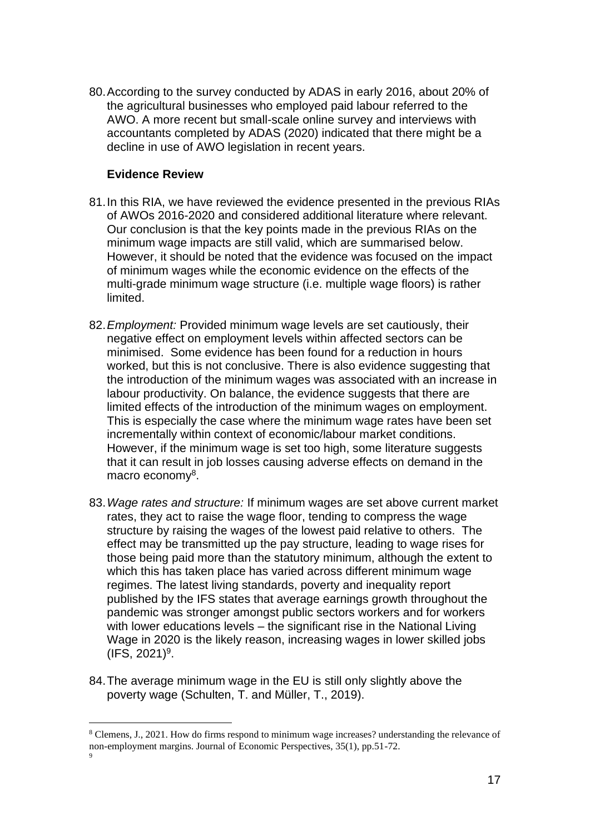80.According to the survey conducted by ADAS in early 2016, about 20% of the agricultural businesses who employed paid labour referred to the AWO. A more recent but small-scale online survey and interviews with accountants completed by ADAS (2020) indicated that there might be a decline in use of AWO legislation in recent years.

#### **Evidence Review**

- 81.In this RIA, we have reviewed the evidence presented in the previous RIAs of AWOs 2016-2020 and considered additional literature where relevant. Our conclusion is that the key points made in the previous RIAs on the minimum wage impacts are still valid, which are summarised below. However, it should be noted that the evidence was focused on the impact of minimum wages while the economic evidence on the effects of the multi-grade minimum wage structure (i.e. multiple wage floors) is rather limited.
- 82.*Employment:* Provided minimum wage levels are set cautiously, their negative effect on employment levels within affected sectors can be minimised. Some evidence has been found for a reduction in hours worked, but this is not conclusive. There is also evidence suggesting that the introduction of the minimum wages was associated with an increase in labour productivity. On balance, the evidence suggests that there are limited effects of the introduction of the minimum wages on employment. This is especially the case where the minimum wage rates have been set incrementally within context of economic/labour market conditions. However, if the minimum wage is set too high, some literature suggests that it can result in job losses causing adverse effects on demand in the macro economy<sup>8</sup>.
- 83.*Wage rates and structure:* If minimum wages are set above current market rates, they act to raise the wage floor, tending to compress the wage structure by raising the wages of the lowest paid relative to others. The effect may be transmitted up the pay structure, leading to wage rises for those being paid more than the statutory minimum, although the extent to which this has taken place has varied across different minimum wage regimes. The latest living standards, poverty and inequality report published by the IFS states that average earnings growth throughout the pandemic was stronger amongst public sectors workers and for workers with lower educations levels – the significant rise in the National Living Wage in 2020 is the likely reason, increasing wages in lower skilled jobs  $(IFS, 2021)^9.$
- 84.The average minimum wage in the EU is still only slightly above the poverty wage (Schulten, T. and Müller, T., 2019).

<sup>8</sup> Clemens, J., 2021. How do firms respond to minimum wage increases? understanding the relevance of non-employment margins. Journal of Economic Perspectives, 35(1), pp.51-72. 9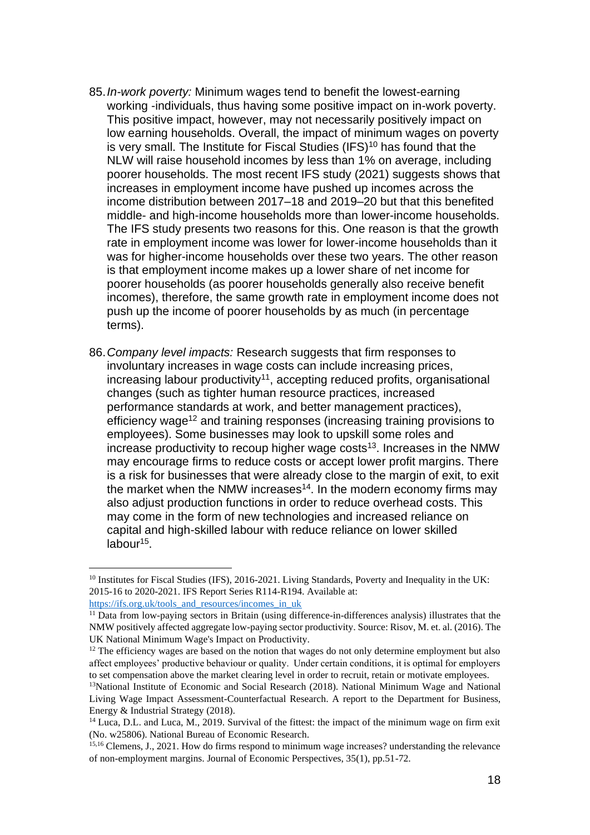- 85.*In-work poverty:* Minimum wages tend to benefit the lowest-earning working -individuals, thus having some positive impact on in-work poverty. This positive impact, however, may not necessarily positively impact on low earning households. Overall, the impact of minimum wages on poverty is very small. The Institute for Fiscal Studies (IFS)<sup>10</sup> has found that the NLW will raise household incomes by less than 1% on average, including poorer households. The most recent IFS study (2021) suggests shows that increases in employment income have pushed up incomes across the income distribution between 2017–18 and 2019–20 but that this benefited middle- and high-income households more than lower-income households. The IFS study presents two reasons for this. One reason is that the growth rate in employment income was lower for lower-income households than it was for higher-income households over these two years. The other reason is that employment income makes up a lower share of net income for poorer households (as poorer households generally also receive benefit incomes), therefore, the same growth rate in employment income does not push up the income of poorer households by as much (in percentage terms).
- 86.*Company level impacts:* Research suggests that firm responses to involuntary increases in wage costs can include increasing prices, increasing labour productivity<sup>11</sup>, accepting reduced profits, organisational changes (such as tighter human resource practices, increased performance standards at work, and better management practices), efficiency wage<sup>12</sup> and training responses (increasing training provisions to employees). Some businesses may look to upskill some roles and increase productivity to recoup higher wage costs<sup>13</sup>. Increases in the NMW may encourage firms to reduce costs or accept lower profit margins. There is a risk for businesses that were already close to the margin of exit, to exit the market when the NMW increases<sup>14</sup>. In the modern economy firms may also adjust production functions in order to reduce overhead costs. This may come in the form of new technologies and increased reliance on capital and high-skilled labour with reduce reliance on lower skilled labour<sup>15</sup>.

<sup>&</sup>lt;sup>10</sup> Institutes for Fiscal Studies (IFS), 2016-2021. Living Standards, Poverty and Inequality in the UK: 2015-16 to 2020-2021. IFS Report Series R114-R194. Available at:

[https://ifs.org.uk/tools\\_and\\_resources/incomes\\_in\\_uk](https://ifs.org.uk/tools_and_resources/incomes_in_uk)

<sup>11</sup> Data from low-paying sectors in Britain (using difference-in-differences analysis) illustrates that the NMW positively affected aggregate low-paying sector productivity. Source: Risov, M. et. al. (2016). The UK National Minimum Wage's Impact on Productivity.

 $12$  The efficiency wages are based on the notion that wages do not only determine employment but also affect employees' productive behaviour or quality. Under certain conditions, it is optimal for employers to set compensation above the market clearing level in order to recruit, retain or motivate employees.

<sup>&</sup>lt;sup>13</sup>National Institute of Economic and Social Research (2018). National Minimum Wage and National Living Wage Impact Assessment-Counterfactual Research. A report to the Department for Business, Energy & Industrial Strategy (2018).

<sup>&</sup>lt;sup>14</sup> Luca, D.L. and Luca, M., 2019. Survival of the fittest: the impact of the minimum wage on firm exit (No. w25806). National Bureau of Economic Research.

<sup>15,16</sup> Clemens, J., 2021. How do firms respond to minimum wage increases? understanding the relevance of non-employment margins. Journal of Economic Perspectives, 35(1), pp.51-72.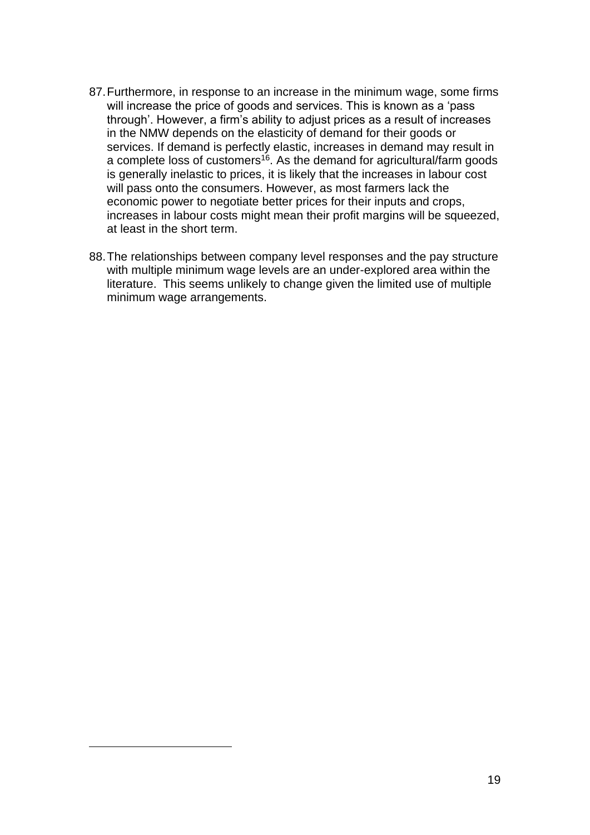- 87.Furthermore, in response to an increase in the minimum wage, some firms will increase the price of goods and services. This is known as a 'pass through'. However, a firm's ability to adjust prices as a result of increases in the NMW depends on the elasticity of demand for their goods or services. If demand is perfectly elastic, increases in demand may result in a complete loss of customers<sup>16</sup>. As the demand for agricultural/farm goods is generally inelastic to prices, it is likely that the increases in labour cost will pass onto the consumers. However, as most farmers lack the economic power to negotiate better prices for their inputs and crops, increases in labour costs might mean their profit margins will be squeezed, at least in the short term.
- 88.The relationships between company level responses and the pay structure with multiple minimum wage levels are an under-explored area within the literature. This seems unlikely to change given the limited use of multiple minimum wage arrangements.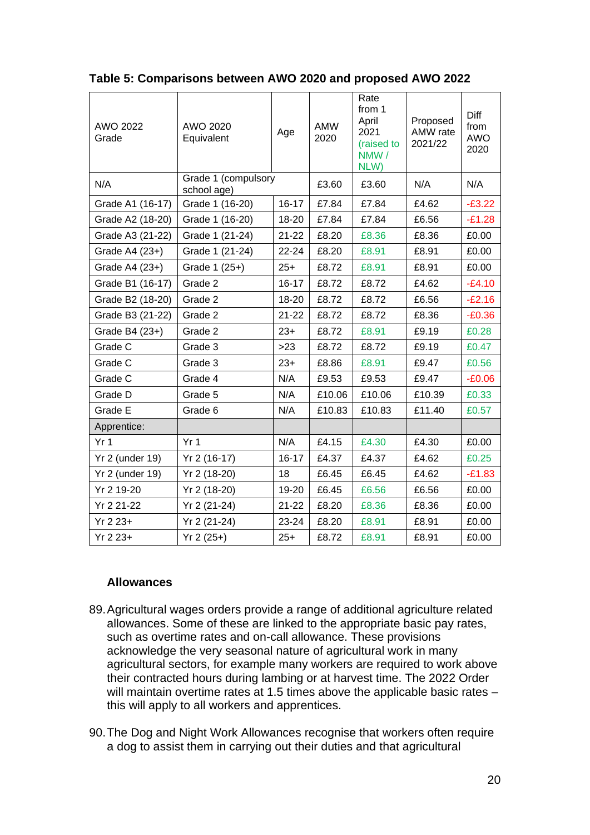| AWO 2022<br>Grade      | AWO 2020<br>Equivalent             | Age       | <b>AMW</b><br>2020 | Rate<br>from 1<br>April<br>2021<br>(raised to<br>NMW/<br>NLW) | Proposed<br>AMW rate<br>2021/22 | Diff<br>from<br>AWO<br>2020 |
|------------------------|------------------------------------|-----------|--------------------|---------------------------------------------------------------|---------------------------------|-----------------------------|
| N/A                    | Grade 1 (compulsory<br>school age) |           | £3.60              | £3.60                                                         | N/A                             | N/A                         |
| Grade A1 (16-17)       | Grade 1 (16-20)                    | $16 - 17$ | £7.84              | £7.84                                                         | £4.62                           | $-E3.22$                    |
| Grade A2 (18-20)       | Grade 1 (16-20)                    | 18-20     | £7.84              | £7.84                                                         | £6.56                           | $-E1.28$                    |
| Grade A3 (21-22)       | Grade 1 (21-24)                    | $21 - 22$ | £8.20              | £8.36                                                         | £8.36                           | £0.00                       |
| Grade A4 (23+)         | Grade 1 (21-24)                    | 22-24     | £8.20              | £8.91                                                         | £8.91                           | £0.00                       |
| Grade A4 (23+)         | Grade 1 (25+)                      | $25+$     | £8.72              | £8.91                                                         | £8.91                           | £0.00                       |
| Grade B1 (16-17)       | Grade 2                            | $16 - 17$ | £8.72              | £8.72                                                         | £4.62                           | $-E4.10$                    |
| Grade B2 (18-20)       | Grade 2                            | 18-20     | £8.72              | £8.72                                                         | £6.56                           | $-E2.16$                    |
| Grade B3 (21-22)       | Grade 2                            | $21 - 22$ | £8.72              | £8.72                                                         | £8.36                           | $-E0.36$                    |
| Grade B4 (23+)         | Grade 2                            | $23+$     | £8.72              | £8.91                                                         | £9.19                           | £0.28                       |
| Grade C                | Grade 3                            | $>23$     | £8.72              | £8.72                                                         | £9.19                           | £0.47                       |
| Grade C                | Grade 3                            | $23+$     | £8.86              | £8.91                                                         | £9.47                           | £0.56                       |
| Grade C                | Grade 4                            | N/A       | £9.53              | £9.53                                                         | £9.47                           | $-£0.06$                    |
| Grade D                | Grade 5                            | N/A       | £10.06             | £10.06                                                        | £10.39                          | £0.33                       |
| Grade E                | Grade 6                            | N/A       | £10.83             | £10.83                                                        | £11.40                          | £0.57                       |
| Apprentice:            |                                    |           |                    |                                                               |                                 |                             |
| Yr <sub>1</sub>        | Yr <sub>1</sub>                    | N/A       | £4.15              | £4.30                                                         | £4.30                           | £0.00                       |
| Yr 2 (under 19)        | Yr 2 (16-17)                       | $16 - 17$ | £4.37              | £4.37                                                         | £4.62                           | £0.25                       |
| <b>Yr 2 (under 19)</b> | Yr 2 (18-20)                       | 18        | £6.45              | £6.45                                                         | £4.62                           | $-E1.83$                    |
| Yr 2 19-20             | Yr 2 (18-20)                       | 19-20     | £6.45              | £6.56                                                         | £6.56                           | £0.00                       |
| Yr 2 21-22             | Yr 2 (21-24)                       | $21 - 22$ | £8.20              | £8.36                                                         | £8.36                           | £0.00                       |
| $Yr 2 23+$             | Yr 2 (21-24)                       | 23-24     | £8.20              | £8.91                                                         | £8.91                           | £0.00                       |
| $Yr 2 23+$             | $Yr 2(25+)$                        | $25+$     | £8.72              | £8.91                                                         | £8.91                           | £0.00                       |

**Table 5: Comparisons between AWO 2020 and proposed AWO 2022**

#### **Allowances**

- 89.Agricultural wages orders provide a range of additional agriculture related allowances. Some of these are linked to the appropriate basic pay rates, such as overtime rates and on-call allowance. These provisions acknowledge the very seasonal nature of agricultural work in many agricultural sectors, for example many workers are required to work above their contracted hours during lambing or at harvest time. The 2022 Order will maintain overtime rates at 1.5 times above the applicable basic rates – this will apply to all workers and apprentices.
- 90.The Dog and Night Work Allowances recognise that workers often require a dog to assist them in carrying out their duties and that agricultural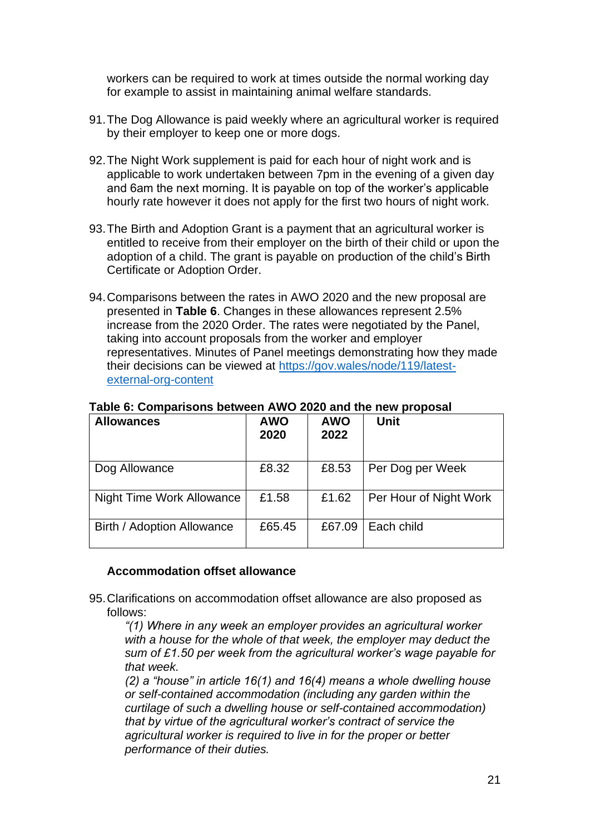workers can be required to work at times outside the normal working day for example to assist in maintaining animal welfare standards.

- 91.The Dog Allowance is paid weekly where an agricultural worker is required by their employer to keep one or more dogs.
- 92.The Night Work supplement is paid for each hour of night work and is applicable to work undertaken between 7pm in the evening of a given day and 6am the next morning. It is payable on top of the worker's applicable hourly rate however it does not apply for the first two hours of night work.
- 93.The Birth and Adoption Grant is a payment that an agricultural worker is entitled to receive from their employer on the birth of their child or upon the adoption of a child. The grant is payable on production of the child's Birth Certificate or Adoption Order.
- 94.Comparisons between the rates in AWO 2020 and the new proposal are presented in **[Table 6](#page-20-0)**. Changes in these allowances represent 2.5% increase from the 2020 Order. The rates were negotiated by the Panel, taking into account proposals from the worker and employer representatives. Minutes of Panel meetings demonstrating how they made their decisions can be viewed at [https://gov.wales/node/119/latest](https://gov.wales/node/119/latest-external-org-content)[external-org-content](https://gov.wales/node/119/latest-external-org-content)

| <b>Allowances</b>          | <b>AWO</b><br>2020 | <b>AWO</b><br>2022 | <b>Unit</b>            |
|----------------------------|--------------------|--------------------|------------------------|
| Dog Allowance              | £8.32              | £8.53              | Per Dog per Week       |
| Night Time Work Allowance  | £1.58              | £1.62              | Per Hour of Night Work |
| Birth / Adoption Allowance | £65.45             | £67.09             | Each child             |

<span id="page-20-0"></span>**Table 6: Comparisons between AWO 2020 and the new proposal**

#### **Accommodation offset allowance**

95.Clarifications on accommodation offset allowance are also proposed as follows:

*"(1) Where in any week an employer provides an agricultural worker with a house for the whole of that week, the employer may deduct the sum of £1.50 per week from the agricultural worker's wage payable for that week.*

*(2) a "house" in article 16(1) and 16(4) means a whole dwelling house or self-contained accommodation (including any garden within the curtilage of such a dwelling house or self-contained accommodation) that by virtue of the agricultural worker's contract of service the agricultural worker is required to live in for the proper or better performance of their duties.*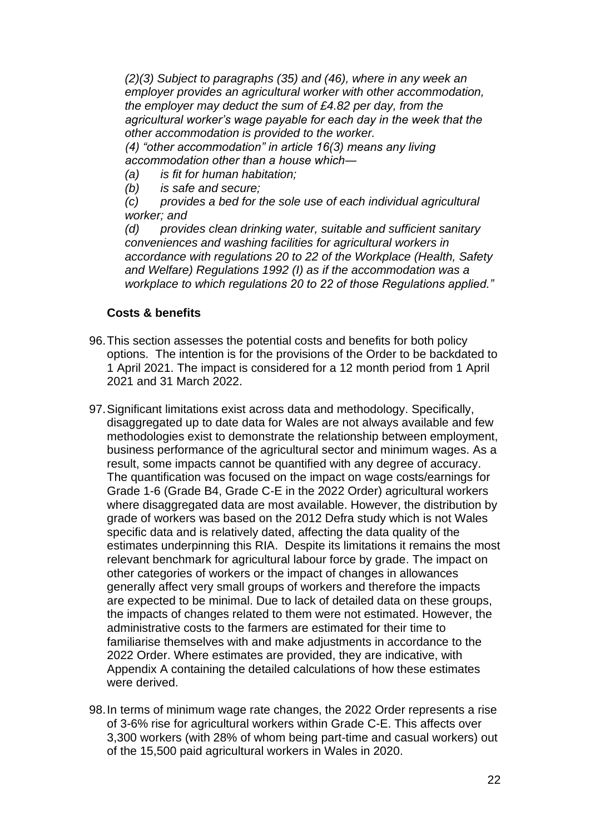*(2)(3) Subject to paragraphs (35) and (46), where in any week an employer provides an agricultural worker with other accommodation, the employer may deduct the sum of £4.82 per day, from the agricultural worker's wage payable for each day in the week that the other accommodation is provided to the worker.*

*(4) "other accommodation" in article 16(3) means any living accommodation other than a house which―* 

- *(a) is fit for human habitation;*
- *(b) is safe and secure;*

*(c) provides a bed for the sole use of each individual agricultural worker; and*

*(d) provides clean drinking water, suitable and sufficient sanitary conveniences and washing facilities for agricultural workers in accordance with regulations 20 to 22 of the Workplace (Health, Safety and Welfare) Regulations 1992 (I) as if the accommodation was a workplace to which regulations 20 to 22 of those Regulations applied."*

#### **Costs & benefits**

- 96.This section assesses the potential costs and benefits for both policy options. The intention is for the provisions of the Order to be backdated to 1 April 2021. The impact is considered for a 12 month period from 1 April 2021 and 31 March 2022.
- 97.Significant limitations exist across data and methodology. Specifically, disaggregated up to date data for Wales are not always available and few methodologies exist to demonstrate the relationship between employment, business performance of the agricultural sector and minimum wages. As a result, some impacts cannot be quantified with any degree of accuracy. The quantification was focused on the impact on wage costs/earnings for Grade 1-6 (Grade B4, Grade C-E in the 2022 Order) agricultural workers where disaggregated data are most available. However, the distribution by grade of workers was based on the 2012 Defra study which is not Wales specific data and is relatively dated, affecting the data quality of the estimates underpinning this RIA. Despite its limitations it remains the most relevant benchmark for agricultural labour force by grade. The impact on other categories of workers or the impact of changes in allowances generally affect very small groups of workers and therefore the impacts are expected to be minimal. Due to lack of detailed data on these groups, the impacts of changes related to them were not estimated. However, the administrative costs to the farmers are estimated for their time to familiarise themselves with and make adjustments in accordance to the 2022 Order. Where estimates are provided, they are indicative, with Appendix A containing the detailed calculations of how these estimates were derived.
- 98.In terms of minimum wage rate changes, the 2022 Order represents a rise of 3-6% rise for agricultural workers within Grade C-E. This affects over 3,300 workers (with 28% of whom being part-time and casual workers) out of the 15,500 paid agricultural workers in Wales in 2020.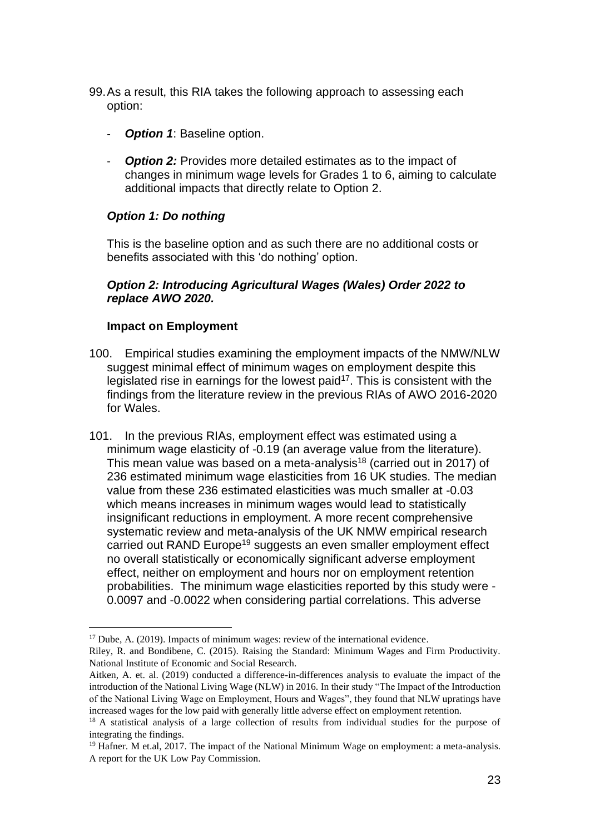- 99.As a result, this RIA takes the following approach to assessing each option:
	- **Option 1: Baseline option.**
	- **Option 2:** Provides more detailed estimates as to the impact of changes in minimum wage levels for Grades 1 to 6, aiming to calculate additional impacts that directly relate to Option 2.

## *Option 1: Do nothing*

This is the baseline option and as such there are no additional costs or benefits associated with this 'do nothing' option.

#### *Option 2: Introducing Agricultural Wages (Wales) Order 2022 to replace AWO 2020.*

#### **Impact on Employment**

- 100. Empirical studies examining the employment impacts of the NMW/NLW suggest minimal effect of minimum wages on employment despite this legislated rise in earnings for the lowest paid<sup>17</sup>. This is consistent with the findings from the literature review in the previous RIAs of AWO 2016-2020 for Wales.
- 101. In the previous RIAs, employment effect was estimated using a minimum wage elasticity of -0.19 (an average value from the literature). This mean value was based on a meta-analysis<sup>18</sup> (carried out in 2017) of 236 estimated minimum wage elasticities from 16 UK studies. The median value from these 236 estimated elasticities was much smaller at -0.03 which means increases in minimum wages would lead to statistically insignificant reductions in employment. A more recent comprehensive systematic review and meta-analysis of the UK NMW empirical research carried out RAND Europe<sup>19</sup> suggests an even smaller employment effect no overall statistically or economically significant adverse employment effect, neither on employment and hours nor on employment retention probabilities. The minimum wage elasticities reported by this study were - 0.0097 and -0.0022 when considering partial correlations. This adverse

<sup>&</sup>lt;sup>17</sup> Dube, A. (2019). Impacts of minimum wages: review of the international evidence.

Riley, R. and Bondibene, C. (2015). Raising the Standard: Minimum Wages and Firm Productivity. National Institute of Economic and Social Research.

Aitken, A. et. al. (2019) conducted a difference-in-differences analysis to evaluate the impact of the introduction of the National Living Wage (NLW) in 2016. In their study "The Impact of the Introduction of the National Living Wage on Employment, Hours and Wages", they found that NLW upratings have increased wages for the low paid with generally little adverse effect on employment retention.

<sup>&</sup>lt;sup>18</sup> A statistical analysis of a large collection of results from individual studies for the purpose of integrating the findings.

<sup>&</sup>lt;sup>19</sup> Hafner. M et.al, 2017. The impact of the National Minimum Wage on employment: a meta-analysis. A report for the UK Low Pay Commission.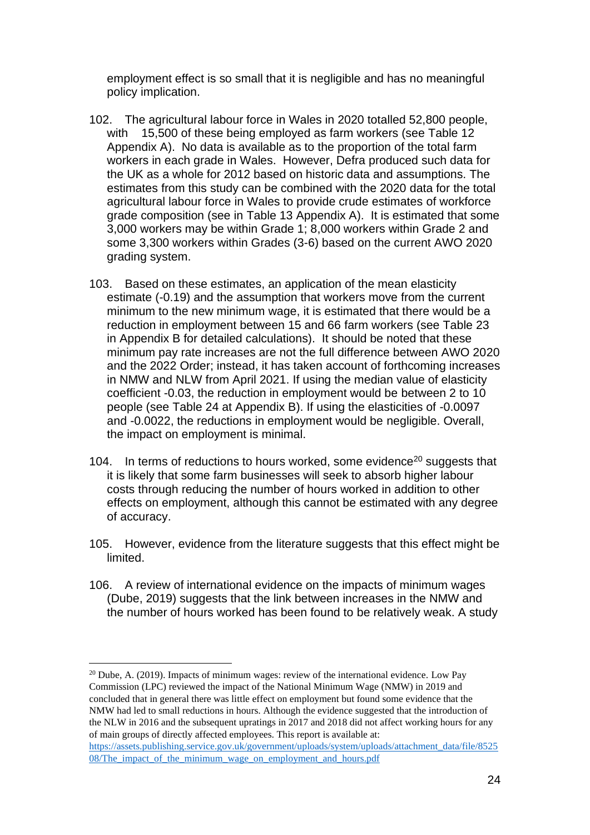employment effect is so small that it is negligible and has no meaningful policy implication.

- 102. The agricultural labour force in Wales in 2020 totalled 52,800 people, with 15,500 of these being employed as farm workers (see [Table 12](#page-39-0) Appendix A). No data is available as to the proportion of the total farm workers in each grade in Wales. However, Defra produced such data for the UK as a whole for 2012 based on historic data and assumptions. The estimates from this study can be combined with the 2020 data for the total agricultural labour force in Wales to provide crude estimates of workforce grade composition (see in [Table 13](#page-39-1) Appendix A). It is estimated that some 3,000 workers may be within Grade 1; 8,000 workers within Grade 2 and some 3,300 workers within Grades (3-6) based on the current AWO 2020 grading system.
- 103. Based on these estimates, an application of the mean elasticity estimate (-0.19) and the assumption that workers move from the current minimum to the new minimum wage, it is estimated that there would be a reduction in employment between 15 and 66 farm workers (see [Table 23](#page-44-0) in Appendix B for detailed calculations). It should be noted that these minimum pay rate increases are not the full difference between AWO 2020 and the 2022 Order; instead, it has taken account of forthcoming increases in NMW and NLW from April 2021. If using the median value of elasticity coefficient -0.03, the reduction in employment would be between 2 to 10 people (see [Table 24](#page-44-1) at Appendix B). If using the elasticities of -0.0097 and -0.0022, the reductions in employment would be negligible. Overall, the impact on employment is minimal.
- 104. In terms of reductions to hours worked, some evidence<sup>20</sup> suggests that it is likely that some farm businesses will seek to absorb higher labour costs through reducing the number of hours worked in addition to other effects on employment, although this cannot be estimated with any degree of accuracy.
- 105. However, evidence from the literature suggests that this effect might be limited.
- 106. A review of international evidence on the impacts of minimum wages (Dube, 2019) suggests that the link between increases in the NMW and the number of hours worked has been found to be relatively weak. A study

 $20$  Dube, A. (2019). Impacts of minimum wages: review of the international evidence. Low Pay Commission (LPC) reviewed the impact of the National Minimum Wage (NMW) in 2019 and concluded that in general there was little effect on employment but found some evidence that the NMW had led to small reductions in hours. Although the evidence suggested that the introduction of the NLW in 2016 and the subsequent upratings in 2017 and 2018 did not affect working hours for any of main groups of directly affected employees. This report is available at:

[https://assets.publishing.service.gov.uk/government/uploads/system/uploads/attachment\\_data/file/8525](https://assets.publishing.service.gov.uk/government/uploads/system/uploads/attachment_data/file/852508/The_impact_of_the_minimum_wage_on_employment_and_hours.pdf) [08/The\\_impact\\_of\\_the\\_minimum\\_wage\\_on\\_employment\\_and\\_hours.pdf](https://assets.publishing.service.gov.uk/government/uploads/system/uploads/attachment_data/file/852508/The_impact_of_the_minimum_wage_on_employment_and_hours.pdf)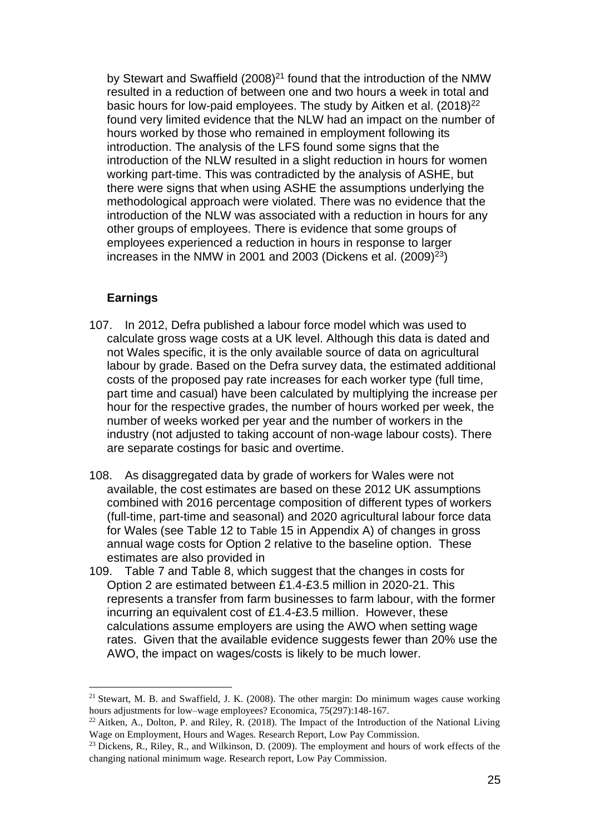by Stewart and Swaffield (2008)<sup>21</sup> found that the introduction of the NMW resulted in a reduction of between one and two hours a week in total and basic hours for low-paid employees. The study by Aitken et al. (2018)<sup>22</sup> found very limited evidence that the NLW had an impact on the number of hours worked by those who remained in employment following its introduction. The analysis of the LFS found some signs that the introduction of the NLW resulted in a slight reduction in hours for women working part-time. This was contradicted by the analysis of ASHE, but there were signs that when using ASHE the assumptions underlying the methodological approach were violated. There was no evidence that the introduction of the NLW was associated with a reduction in hours for any other groups of employees. There is evidence that some groups of employees experienced a reduction in hours in response to larger increases in the NMW in 2001 and 2003 (Dickens et al.  $(2009)^{23}$ )

#### **Earnings**

- 107. In 2012, Defra published a labour force model which was used to calculate gross wage costs at a UK level. Although this data is dated and not Wales specific, it is the only available source of data on agricultural labour by grade. Based on the Defra survey data, the estimated additional costs of the proposed pay rate increases for each worker type (full time, part time and casual) have been calculated by multiplying the increase per hour for the respective grades, the number of hours worked per week, the number of weeks worked per year and the number of workers in the industry (not adjusted to taking account of non-wage labour costs). There are separate costings for basic and overtime.
- 108. As disaggregated data by grade of workers for Wales were not available, the cost estimates are based on these 2012 UK assumptions combined with 2016 percentage composition of different types of workers (full-time, part-time and seasonal) and 2020 agricultural labour force data for Wales (see [Table 12](#page-39-0) to [Table](#page-40-0) [15](#page-40-0) in Appendix A) of changes in gross annual wage costs for Option 2 relative to the baseline option. These estimates are also provided in
- 109. [Table](#page-25-0) 7 and [Table 8,](#page-25-1) which suggest that the changes in costs for Option 2 are estimated between £1.4-£3.5 million in 2020-21. This represents a transfer from farm businesses to farm labour, with the former incurring an equivalent cost of £1.4-£3.5 million. However, these calculations assume employers are using the AWO when setting wage rates. Given that the available evidence suggests fewer than 20% use the AWO, the impact on wages/costs is likely to be much lower.

<sup>&</sup>lt;sup>21</sup> Stewart, M. B. and Swaffield, J. K.  $(2008)$ . The other margin: Do minimum wages cause working hours adjustments for low–wage employees? Economica, 75(297):148-167.

 $^{22}$  Aitken, A., Dolton, P. and Riley, R. (2018). The Impact of the Introduction of the National Living Wage on Employment, Hours and Wages. Research Report, Low Pay Commission.

<sup>&</sup>lt;sup>23</sup> Dickens, R., Riley, R., and Wilkinson, D. (2009). The employment and hours of work effects of the changing national minimum wage. Research report, Low Pay Commission.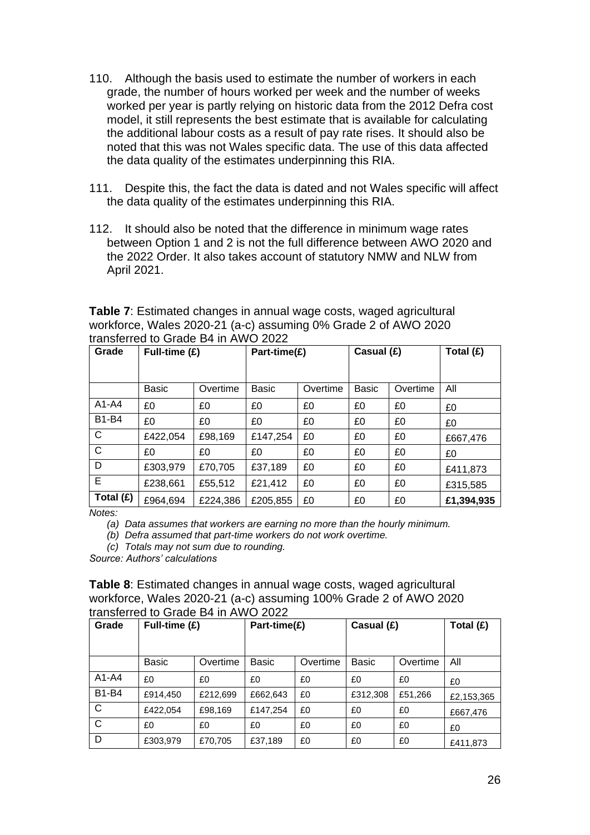- 110. Although the basis used to estimate the number of workers in each grade, the number of hours worked per week and the number of weeks worked per year is partly relying on historic data from the 2012 Defra cost model, it still represents the best estimate that is available for calculating the additional labour costs as a result of pay rate rises. It should also be noted that this was not Wales specific data. The use of this data affected the data quality of the estimates underpinning this RIA.
- 111. Despite this, the fact the data is dated and not Wales specific will affect the data quality of the estimates underpinning this RIA.
- 112. It should also be noted that the difference in minimum wage rates between Option 1 and 2 is not the full difference between AWO 2020 and the 2022 Order. It also takes account of statutory NMW and NLW from April 2021.

<span id="page-25-0"></span>**Table 7**: Estimated changes in annual wage costs, waged agricultural workforce, Wales 2020-21 (a-c) assuming 0% Grade 2 of AWO 2020 transferred to Grade B4 in AWO 2022

| Grade        | Full-time $(E)$ |          |              | Part-time(£) |              | Casual (£) | Total (£)  |
|--------------|-----------------|----------|--------------|--------------|--------------|------------|------------|
|              |                 |          |              |              |              |            |            |
|              | <b>Basic</b>    | Overtime | <b>Basic</b> | Overtime     | <b>Basic</b> | Overtime   | All        |
| A1-A4        | £0              | £0       | £0           | £0           | £0           | £0         | £0         |
| <b>B1-B4</b> | £0              | £0       | £0           | £0           | £0           | £0         | £0         |
| $\mathsf{C}$ | £422,054        | £98,169  | £147,254     | £0           | £0           | £0         | £667,476   |
| $\mathsf{C}$ | £0              | £0       | £0           | £0           | £0           | £0         | £0         |
| D            | £303,979        | £70,705  | £37,189      | £0           | £0           | £0         | £411,873   |
| E            | £238,661        | £55,512  | £21,412      | £0           | £0           | £0         | £315,585   |
| Total (£)    | £964,694        | £224,386 | £205,855     | £0           | £0           | £0         | £1,394,935 |

*Notes:*

*(a) Data assumes that workers are earning no more than the hourly minimum.*

*(b) Defra assumed that part-time workers do not work overtime.*

*(c) Totals may not sum due to rounding.*

*Source: Authors' calculations* 

<span id="page-25-1"></span>

| Table 8: Estimated changes in annual wage costs, waged agricultural |
|---------------------------------------------------------------------|
| workforce, Wales 2020-21 (a-c) assuming 100% Grade 2 of AWO 2020    |
| transferred to Grade B4 in AWO 2022                                 |

| Grade        | Full-time $(E)$ |          | Part-time(£) |          | Casual (£) | Total $(E)$ |            |
|--------------|-----------------|----------|--------------|----------|------------|-------------|------------|
|              |                 |          |              |          |            |             |            |
|              | <b>Basic</b>    | Overtime | <b>Basic</b> | Overtime | Basic      | Overtime    | All        |
| $A1-A4$      | £0              | £0       | £0           | £0       | £0         | £0          | £0         |
| <b>B1-B4</b> | £914,450        | £212,699 | £662,643     | £0       | £312,308   | £51,266     | £2,153,365 |
| $\mathsf{C}$ | £422.054        | £98,169  | £147,254     | £0       | £0         | £0          | £667,476   |
| $\mathsf{C}$ | £0              | £0       | £0           | £0       | £0         | £0          | £0         |
| D            | £303,979        | £70,705  | £37,189      | £0       | £0         | £0          | £411,873   |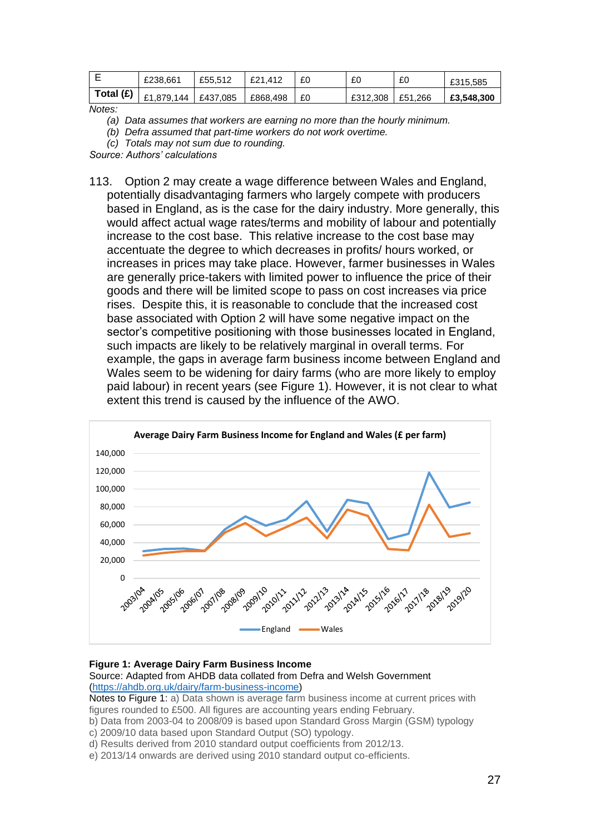|             | £238.661              | £55.512 | £21.412  | £0 | £C       | £0      | £315,585   |
|-------------|-----------------------|---------|----------|----|----------|---------|------------|
| Total $(E)$ | £1,879,144   £437,085 |         | £868,498 | £0 | £312,308 | £51.266 | £3,548,300 |

*Notes:*

- *(a) Data assumes that workers are earning no more than the hourly minimum.*
- *(b) Defra assumed that part-time workers do not work overtime.*
- *(c) Totals may not sum due to rounding.*

*Source: Authors' calculations* 

113. Option 2 may create a wage difference between Wales and England, potentially disadvantaging farmers who largely compete with producers based in England, as is the case for the dairy industry. More generally, this would affect actual wage rates/terms and mobility of labour and potentially increase to the cost base. This relative increase to the cost base may accentuate the degree to which decreases in profits/ hours worked, or increases in prices may take place. However, farmer businesses in Wales are generally price-takers with limited power to influence the price of their goods and there will be limited scope to pass on cost increases via price rises. Despite this, it is reasonable to conclude that the increased cost base associated with Option 2 will have some negative impact on the sector's competitive positioning with those businesses located in England, such impacts are likely to be relatively marginal in overall terms. For example, the gaps in average farm business income between England and Wales seem to be widening for dairy farms (who are more likely to employ paid labour) in recent years (see [Figure 1\)](#page-26-0). However, it is not clear to what extent this trend is caused by the influence of the AWO.



#### <span id="page-26-0"></span>**Figure 1: Average Dairy Farm Business Income**

Source: Adapted from AHDB data collated from Defra and Welsh Government [\(https://ahdb.org.uk/dairy/farm-business-income\)](https://ahdb.org.uk/dairy/farm-business-income)

Notes to Figure 1: a) Data shown is average farm business income at current prices with figures rounded to £500. All figures are accounting years ending February.

- b) Data from 2003-04 to 2008/09 is based upon Standard Gross Margin (GSM) typology c) 2009/10 data based upon Standard Output (SO) typology.
- d) Results derived from 2010 standard output coefficients from 2012/13.
- e) 2013/14 onwards are derived using 2010 standard output co-efficients.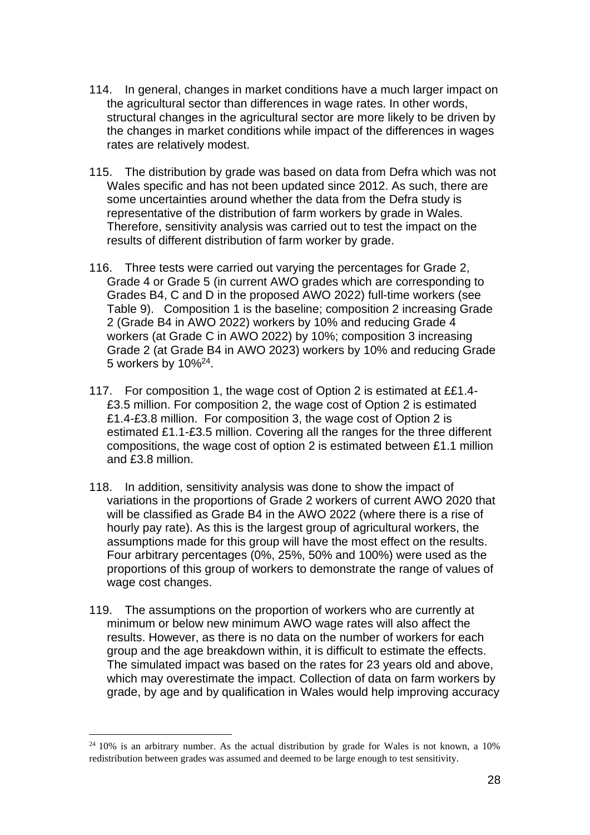- 114. In general, changes in market conditions have a much larger impact on the agricultural sector than differences in wage rates. In other words, structural changes in the agricultural sector are more likely to be driven by the changes in market conditions while impact of the differences in wages rates are relatively modest.
- 115. The distribution by grade was based on data from Defra which was not Wales specific and has not been updated since 2012. As such, there are some uncertainties around whether the data from the Defra study is representative of the distribution of farm workers by grade in Wales. Therefore, sensitivity analysis was carried out to test the impact on the results of different distribution of farm worker by grade.
- 116. Three tests were carried out varying the percentages for Grade 2, Grade 4 or Grade 5 (in current AWO grades which are corresponding to Grades B4, C and D in the proposed AWO 2022) full-time workers (see [Table 9\)](#page-28-0). Composition 1 is the baseline; composition 2 increasing Grade 2 (Grade B4 in AWO 2022) workers by 10% and reducing Grade 4 workers (at Grade C in AWO 2022) by 10%; composition 3 increasing Grade 2 (at Grade B4 in AWO 2023) workers by 10% and reducing Grade 5 workers by 10%<sup>24</sup>.
- 117. For composition 1, the wage cost of Option 2 is estimated at ££1.4- £3.5 million. For composition 2, the wage cost of Option 2 is estimated £1.4-£3.8 million. For composition 3, the wage cost of Option 2 is estimated £1.1-£3.5 million. Covering all the ranges for the three different compositions, the wage cost of option 2 is estimated between £1.1 million and £3.8 million.
- 118. In addition, sensitivity analysis was done to show the impact of variations in the proportions of Grade 2 workers of current AWO 2020 that will be classified as Grade B4 in the AWO 2022 (where there is a rise of hourly pay rate). As this is the largest group of agricultural workers, the assumptions made for this group will have the most effect on the results. Four arbitrary percentages (0%, 25%, 50% and 100%) were used as the proportions of this group of workers to demonstrate the range of values of wage cost changes.
- 119. The assumptions on the proportion of workers who are currently at minimum or below new minimum AWO wage rates will also affect the results. However, as there is no data on the number of workers for each group and the age breakdown within, it is difficult to estimate the effects. The simulated impact was based on the rates for 23 years old and above, which may overestimate the impact. Collection of data on farm workers by grade, by age and by qualification in Wales would help improving accuracy

 $24\,10\%$  is an arbitrary number. As the actual distribution by grade for Wales is not known, a 10% redistribution between grades was assumed and deemed to be large enough to test sensitivity.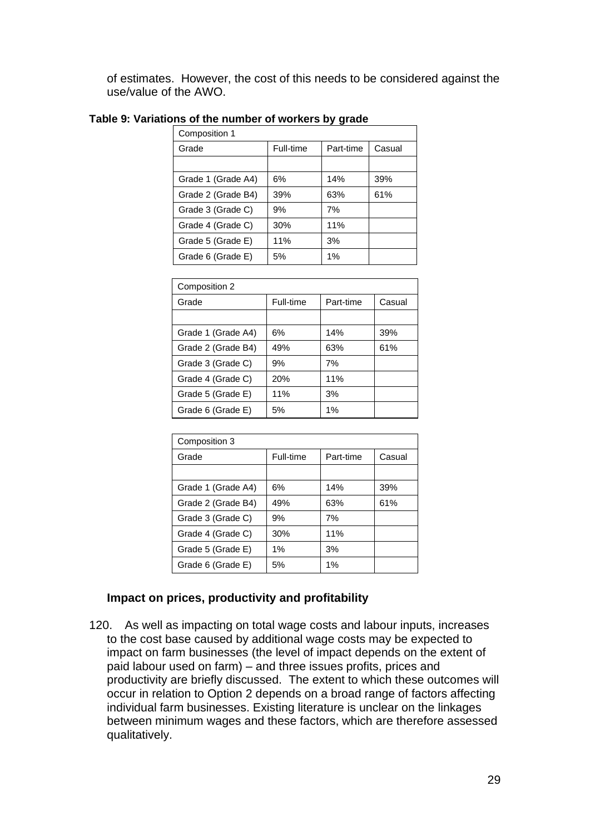of estimates. However, the cost of this needs to be considered against the use/value of the AWO.

#### <span id="page-28-0"></span>**Table 9: Variations of the number of workers by grade**

| Composition 1      |           |           |        |
|--------------------|-----------|-----------|--------|
| Grade              | Full-time | Part-time | Casual |
|                    |           |           |        |
| Grade 1 (Grade A4) | 6%        | 14%       | 39%    |
| Grade 2 (Grade B4) | 39%       | 63%       | 61%    |
| Grade 3 (Grade C)  | 9%        | 7%        |        |
| Grade 4 (Grade C)  | 30%       | 11%       |        |
| Grade 5 (Grade E)  | 11%       | 3%        |        |
| Grade 6 (Grade E)  | 5%        | $1\%$     |        |

| Composition 2      |           |           |        |  |  |
|--------------------|-----------|-----------|--------|--|--|
| Grade              | Full-time | Part-time | Casual |  |  |
|                    |           |           |        |  |  |
| Grade 1 (Grade A4) | 6%        | 14%       | 39%    |  |  |
| Grade 2 (Grade B4) | 49%       | 63%       | 61%    |  |  |
| Grade 3 (Grade C)  | 9%        | 7%        |        |  |  |
| Grade 4 (Grade C)  | 20%       | 11%       |        |  |  |
| Grade 5 (Grade E)  | 11%       | 3%        |        |  |  |
| Grade 6 (Grade E)  | 5%        | $1\%$     |        |  |  |

| Composition 3      |           |           |        |  |  |
|--------------------|-----------|-----------|--------|--|--|
| Grade              | Full-time | Part-time | Casual |  |  |
|                    |           |           |        |  |  |
| Grade 1 (Grade A4) | 6%        | 14%       | 39%    |  |  |
| Grade 2 (Grade B4) | 49%       | 63%       | 61%    |  |  |
| Grade 3 (Grade C)  | 9%        | 7%        |        |  |  |
| Grade 4 (Grade C)  | 30%       | 11%       |        |  |  |
| Grade 5 (Grade E)  | $1\%$     | 3%        |        |  |  |
| Grade 6 (Grade E)  | 5%        | $1\%$     |        |  |  |

## **Impact on prices, productivity and profitability**

120. As well as impacting on total wage costs and labour inputs, increases to the cost base caused by additional wage costs may be expected to impact on farm businesses (the level of impact depends on the extent of paid labour used on farm) – and three issues profits, prices and productivity are briefly discussed. The extent to which these outcomes will occur in relation to Option 2 depends on a broad range of factors affecting individual farm businesses. Existing literature is unclear on the linkages between minimum wages and these factors, which are therefore assessed qualitatively.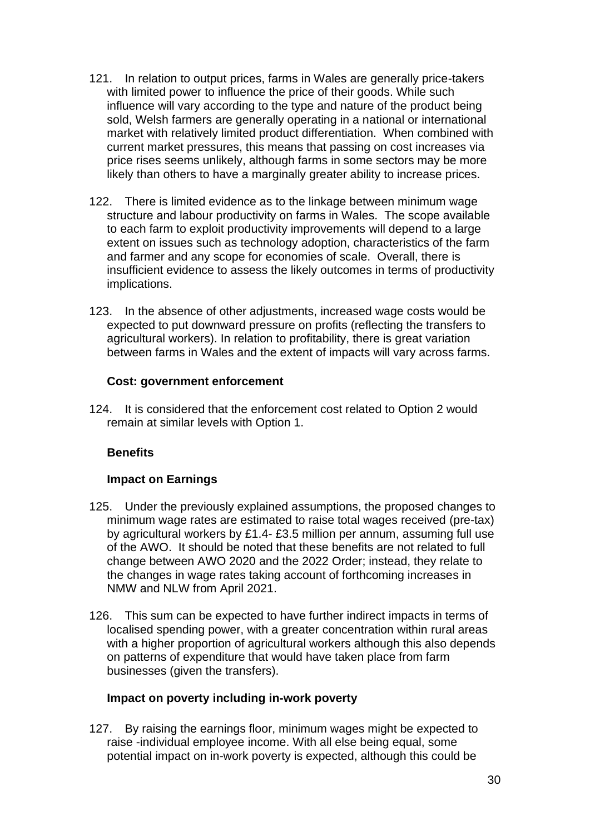- 121. In relation to output prices, farms in Wales are generally price-takers with limited power to influence the price of their goods. While such influence will vary according to the type and nature of the product being sold, Welsh farmers are generally operating in a national or international market with relatively limited product differentiation. When combined with current market pressures, this means that passing on cost increases via price rises seems unlikely, although farms in some sectors may be more likely than others to have a marginally greater ability to increase prices.
- 122. There is limited evidence as to the linkage between minimum wage structure and labour productivity on farms in Wales. The scope available to each farm to exploit productivity improvements will depend to a large extent on issues such as technology adoption, characteristics of the farm and farmer and any scope for economies of scale. Overall, there is insufficient evidence to assess the likely outcomes in terms of productivity implications.
- 123. In the absence of other adjustments, increased wage costs would be expected to put downward pressure on profits (reflecting the transfers to agricultural workers). In relation to profitability, there is great variation between farms in Wales and the extent of impacts will vary across farms.

#### **Cost: government enforcement**

124. It is considered that the enforcement cost related to Option 2 would remain at similar levels with Option 1.

## **Benefits**

## **Impact on Earnings**

- 125. Under the previously explained assumptions, the proposed changes to minimum wage rates are estimated to raise total wages received (pre-tax) by agricultural workers by £1.4- £3.5 million per annum, assuming full use of the AWO. It should be noted that these benefits are not related to full change between AWO 2020 and the 2022 Order; instead, they relate to the changes in wage rates taking account of forthcoming increases in NMW and NLW from April 2021.
- 126. This sum can be expected to have further indirect impacts in terms of localised spending power, with a greater concentration within rural areas with a higher proportion of agricultural workers although this also depends on patterns of expenditure that would have taken place from farm businesses (given the transfers).

#### **Impact on poverty including in-work poverty**

127. By raising the earnings floor, minimum wages might be expected to raise -individual employee income. With all else being equal, some potential impact on in-work poverty is expected, although this could be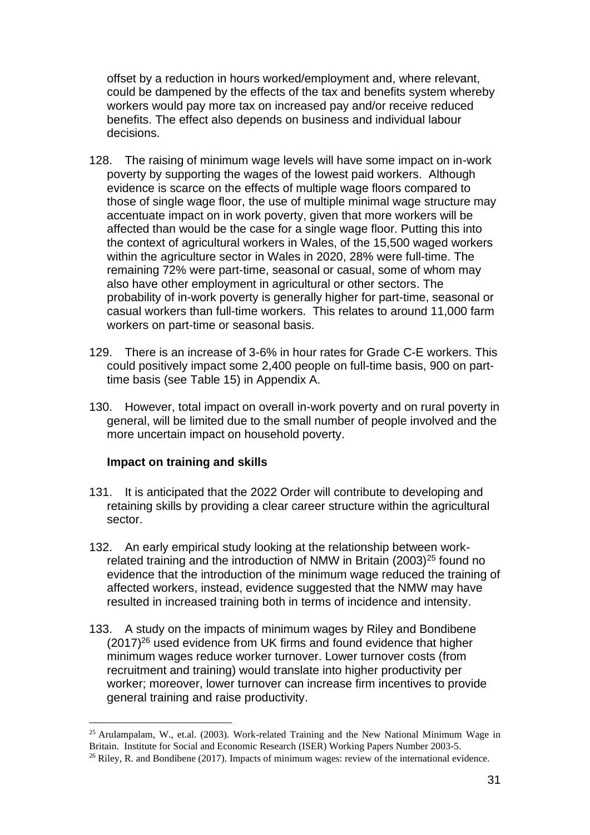offset by a reduction in hours worked/employment and, where relevant, could be dampened by the effects of the tax and benefits system whereby workers would pay more tax on increased pay and/or receive reduced benefits. The effect also depends on business and individual labour decisions.

- 128. The raising of minimum wage levels will have some impact on in-work poverty by supporting the wages of the lowest paid workers. Although evidence is scarce on the effects of multiple wage floors compared to those of single wage floor, the use of multiple minimal wage structure may accentuate impact on in work poverty, given that more workers will be affected than would be the case for a single wage floor. Putting this into the context of agricultural workers in Wales, of the 15,500 waged workers within the agriculture sector in Wales in 2020, 28% were full-time. The remaining 72% were part-time, seasonal or casual, some of whom may also have other employment in agricultural or other sectors. The probability of in-work poverty is generally higher for part-time, seasonal or casual workers than full-time workers. This relates to around 11,000 farm workers on part-time or seasonal basis.
- 129. There is an increase of 3-6% in hour rates for Grade C-E workers. This could positively impact some 2,400 people on full-time basis, 900 on parttime basis (see [Table 15\)](#page-40-0) in Appendix A.
- 130. However, total impact on overall in-work poverty and on rural poverty in general, will be limited due to the small number of people involved and the more uncertain impact on household poverty.

## **Impact on training and skills**

- 131. It is anticipated that the 2022 Order will contribute to developing and retaining skills by providing a clear career structure within the agricultural sector.
- 132. An early empirical study looking at the relationship between workrelated training and the introduction of NMW in Britain (2003)<sup>25</sup> found no evidence that the introduction of the minimum wage reduced the training of affected workers, instead, evidence suggested that the NMW may have resulted in increased training both in terms of incidence and intensity.
- 133. A study on the impacts of minimum wages by Riley and Bondibene (2017)<sup>26</sup> used evidence from UK firms and found evidence that higher minimum wages reduce worker turnover. Lower turnover costs (from recruitment and training) would translate into higher productivity per worker; moreover, lower turnover can increase firm incentives to provide general training and raise productivity.

 $25$  Arulampalam, W., et.al. (2003). Work-related Training and the New National Minimum Wage in Britain. Institute for Social and Economic Research (ISER) Working Papers Number 2003-5.  $26$  Riley, R. and Bondibene (2017). Impacts of minimum wages: review of the international evidence.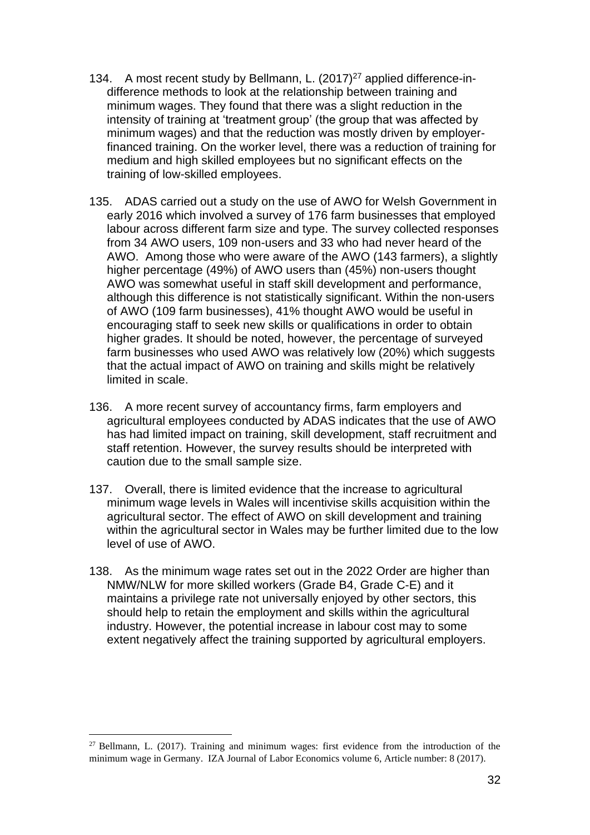- 134. A most recent study by Bellmann, L. (2017)<sup>27</sup> applied difference-indifference methods to look at the relationship between training and minimum wages. They found that there was a slight reduction in the intensity of training at 'treatment group' (the group that was affected by minimum wages) and that the reduction was mostly driven by employerfinanced training. On the worker level, there was a reduction of training for medium and high skilled employees but no significant effects on the training of low-skilled employees.
- 135. ADAS carried out a study on the use of AWO for Welsh Government in early 2016 which involved a survey of 176 farm businesses that employed labour across different farm size and type. The survey collected responses from 34 AWO users, 109 non-users and 33 who had never heard of the AWO. Among those who were aware of the AWO (143 farmers), a slightly higher percentage (49%) of AWO users than (45%) non-users thought AWO was somewhat useful in staff skill development and performance, although this difference is not statistically significant. Within the non-users of AWO (109 farm businesses), 41% thought AWO would be useful in encouraging staff to seek new skills or qualifications in order to obtain higher grades. It should be noted, however, the percentage of surveyed farm businesses who used AWO was relatively low (20%) which suggests that the actual impact of AWO on training and skills might be relatively limited in scale.
- 136. A more recent survey of accountancy firms, farm employers and agricultural employees conducted by ADAS indicates that the use of AWO has had limited impact on training, skill development, staff recruitment and staff retention. However, the survey results should be interpreted with caution due to the small sample size.
- 137. Overall, there is limited evidence that the increase to agricultural minimum wage levels in Wales will incentivise skills acquisition within the agricultural sector. The effect of AWO on skill development and training within the agricultural sector in Wales may be further limited due to the low level of use of AWO.
- 138. As the minimum wage rates set out in the 2022 Order are higher than NMW/NLW for more skilled workers (Grade B4, Grade C-E) and it maintains a privilege rate not universally enjoyed by other sectors, this should help to retain the employment and skills within the agricultural industry. However, the potential increase in labour cost may to some extent negatively affect the training supported by agricultural employers.

 $27$  Bellmann, L. (2017). Training and minimum wages: first evidence from the introduction of the minimum wage in Germany. IZA Journal of Labor Economics volume 6, Article number: 8 (2017).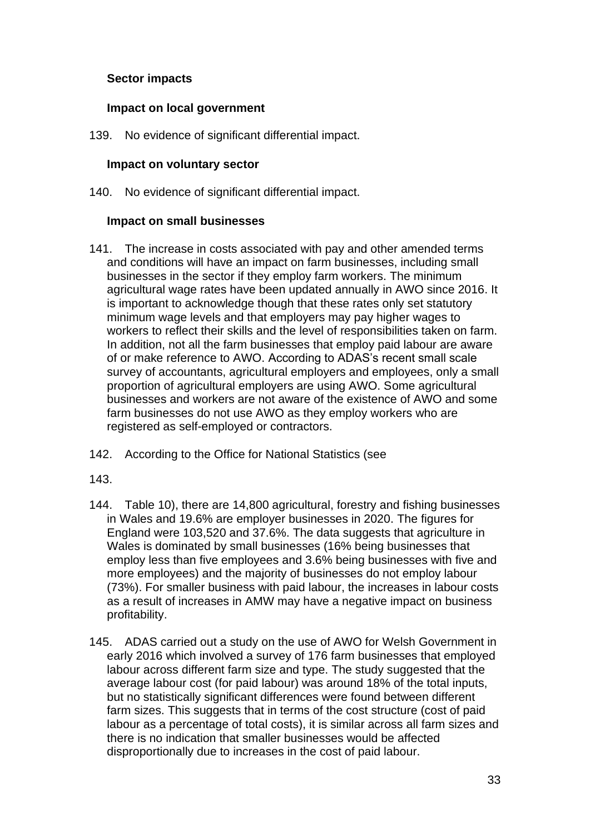## **Sector impacts**

#### **Impact on local government**

139. No evidence of significant differential impact.

#### **Impact on voluntary sector**

140. No evidence of significant differential impact.

#### **Impact on small businesses**

- 141. The increase in costs associated with pay and other amended terms and conditions will have an impact on farm businesses, including small businesses in the sector if they employ farm workers. The minimum agricultural wage rates have been updated annually in AWO since 2016. It is important to acknowledge though that these rates only set statutory minimum wage levels and that employers may pay higher wages to workers to reflect their skills and the level of responsibilities taken on farm. In addition, not all the farm businesses that employ paid labour are aware of or make reference to AWO. According to ADAS's recent small scale survey of accountants, agricultural employers and employees, only a small proportion of agricultural employers are using AWO. Some agricultural businesses and workers are not aware of the existence of AWO and some farm businesses do not use AWO as they employ workers who are registered as self-employed or contractors.
- 142. According to the Office for National Statistics (see

[143.](#page-33-0)

- 144. [Table](#page-33-0) 10), there are 14,800 agricultural, forestry and fishing businesses in Wales and 19.6% are employer businesses in 2020. The figures for England were 103,520 and 37.6%. The data suggests that agriculture in Wales is dominated by small businesses (16% being businesses that employ less than five employees and 3.6% being businesses with five and more employees) and the majority of businesses do not employ labour (73%). For smaller business with paid labour, the increases in labour costs as a result of increases in AMW may have a negative impact on business profitability.
- 145. ADAS carried out a study on the use of AWO for Welsh Government in early 2016 which involved a survey of 176 farm businesses that employed labour across different farm size and type. The study suggested that the average labour cost (for paid labour) was around 18% of the total inputs, but no statistically significant differences were found between different farm sizes. This suggests that in terms of the cost structure (cost of paid labour as a percentage of total costs), it is similar across all farm sizes and there is no indication that smaller businesses would be affected disproportionally due to increases in the cost of paid labour.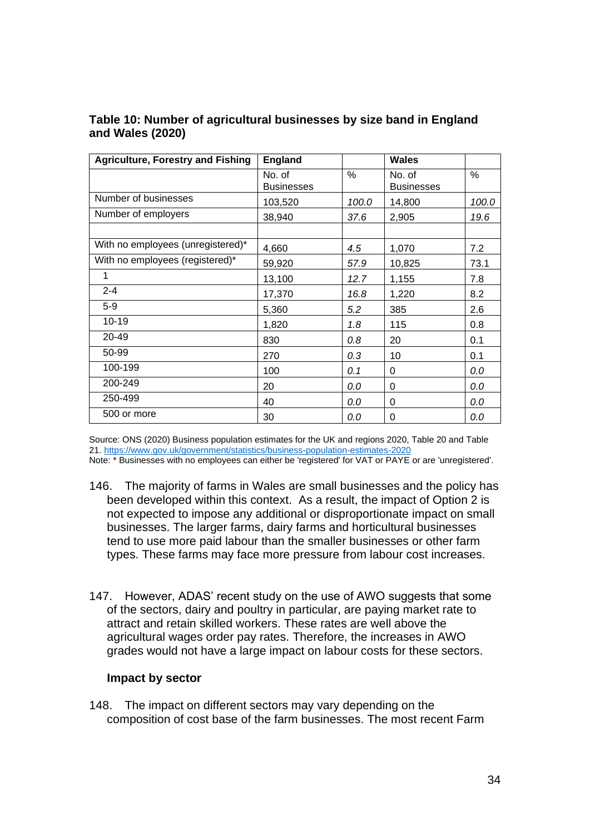| <b>Agriculture, Forestry and Fishing</b> | <b>England</b>              |       | Wales                       |       |
|------------------------------------------|-----------------------------|-------|-----------------------------|-------|
|                                          | No. of<br><b>Businesses</b> | %     | No. of<br><b>Businesses</b> | $\%$  |
| Number of businesses                     | 103,520                     | 100.0 | 14,800                      | 100.0 |
| Number of employers                      | 38,940                      | 37.6  | 2,905                       | 19.6  |
|                                          |                             |       |                             |       |
| With no employees (unregistered)*        | 4,660                       | 4.5   | 1,070                       | 7.2   |
| With no employees (registered)*          | 59,920                      | 57.9  | 10,825                      | 73.1  |
| 1                                        | 13,100                      | 12.7  | 1,155                       | 7.8   |
| $2 - 4$                                  | 17,370                      | 16.8  | 1,220                       | 8.2   |
| $5-9$                                    | 5,360                       | 5.2   | 385                         | 2.6   |
| $10 - 19$                                | 1,820                       | 1.8   | 115                         | 0.8   |
| 20-49                                    | 830                         | 0.8   | 20                          | 0.1   |
| 50-99                                    | 270                         | 0.3   | 10                          | 0.1   |
| 100-199                                  | 100                         | 0.1   | 0                           | 0.0   |
| 200-249                                  | 20                          | 0.0   | 0                           | 0.0   |
| 250-499                                  | 40                          | 0.0   | 0                           | 0.0   |
| 500 or more                              | 30                          | 0.0   | 0                           | 0.0   |

#### <span id="page-33-0"></span>**Table 10: Number of agricultural businesses by size band in England and Wales (2020)**

Source: ONS (2020) Business population estimates for the UK and regions 2020, Table 20 and Table 21. https://www.gov.uk/government/statistics/business-population-estimates-2020

Note: \* Businesses with no employees can either be 'registered' for VAT or PAYE or are 'unregistered'.

- 146. The majority of farms in Wales are small businesses and the policy has been developed within this context. As a result, the impact of Option 2 is not expected to impose any additional or disproportionate impact on small businesses. The larger farms, dairy farms and horticultural businesses tend to use more paid labour than the smaller businesses or other farm types. These farms may face more pressure from labour cost increases.
- 147. However, ADAS' recent study on the use of AWO suggests that some of the sectors, dairy and poultry in particular, are paying market rate to attract and retain skilled workers. These rates are well above the agricultural wages order pay rates. Therefore, the increases in AWO grades would not have a large impact on labour costs for these sectors.

#### **Impact by sector**

148. The impact on different sectors may vary depending on the composition of cost base of the farm businesses. The most recent Farm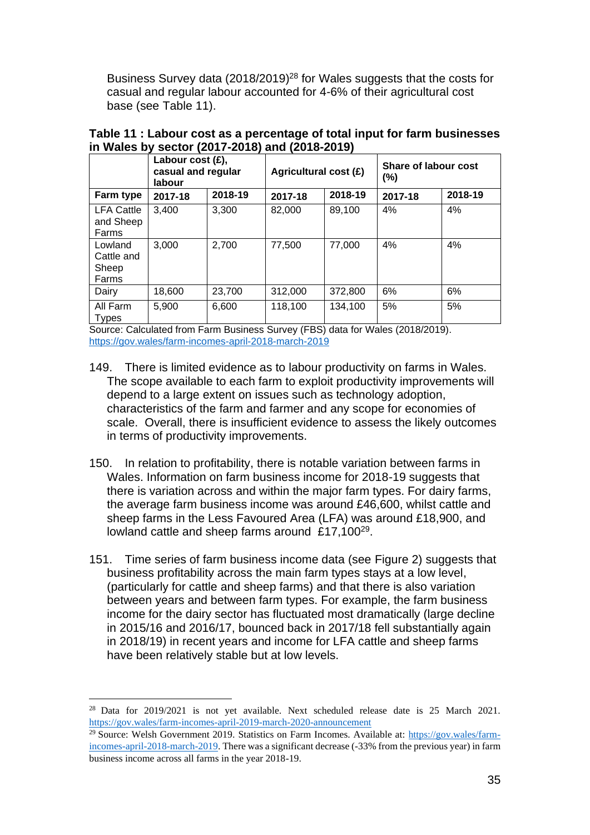Business Survey data (2018/2019)<sup>28</sup> for Wales suggests that the costs for casual and regular labour accounted for 4-6% of their agricultural cost base (see [Table 11\)](#page-34-0).

|                                         | Labour cost $(E)$ ,<br>casual and regular<br>labour |         | Agricultural cost (£) |         | Share of labour cost<br>(%) |         |
|-----------------------------------------|-----------------------------------------------------|---------|-----------------------|---------|-----------------------------|---------|
| Farm type                               | 2017-18                                             | 2018-19 | 2017-18               | 2018-19 | 2017-18                     | 2018-19 |
| <b>LFA Cattle</b><br>and Sheep<br>Farms | 3.400                                               | 3,300   | 82.000                | 89,100  | 4%                          | 4%      |
| Lowland<br>Cattle and<br>Sheep<br>Farms | 3,000                                               | 2,700   | 77,500                | 77,000  | 4%                          | 4%      |
| Dairy                                   | 18,600                                              | 23,700  | 312,000               | 372,800 | 6%                          | 6%      |
| All Farm<br><b>Types</b>                | 5.900                                               | 6,600   | 118,100               | 134,100 | 5%                          | 5%      |

<span id="page-34-0"></span>

|                                                |  | Table 11 : Labour cost as a percentage of total input for farm businesses |  |
|------------------------------------------------|--|---------------------------------------------------------------------------|--|
| in Wales by sector (2017-2018) and (2018-2019) |  |                                                                           |  |

Source: Calculated from Farm Business Survey (FBS) data for Wales (2018/2019). https://gov.wales/farm-incomes-april-2018-march-2019

- 149. There is limited evidence as to labour productivity on farms in Wales. The scope available to each farm to exploit productivity improvements will depend to a large extent on issues such as technology adoption, characteristics of the farm and farmer and any scope for economies of scale. Overall, there is insufficient evidence to assess the likely outcomes in terms of productivity improvements.
- 150. In relation to profitability, there is notable variation between farms in Wales. Information on farm business income for 2018-19 suggests that there is variation across and within the major farm types. For dairy farms, the average farm business income was around £46,600, whilst cattle and sheep farms in the Less Favoured Area (LFA) was around £18,900, and lowland cattle and sheep farms around  $£17,100^{29}$ .
- 151. Time series of farm business income data (see [Figure 2\)](#page-35-0) suggests that business profitability across the main farm types stays at a low level, (particularly for cattle and sheep farms) and that there is also variation between years and between farm types. For example, the farm business income for the dairy sector has fluctuated most dramatically (large decline in 2015/16 and 2016/17, bounced back in 2017/18 fell substantially again in 2018/19) in recent years and income for LFA cattle and sheep farms have been relatively stable but at low levels.

<sup>&</sup>lt;sup>28</sup> Data for 2019/2021 is not yet available. Next scheduled release date is 25 March 2021. <https://gov.wales/farm-incomes-april-2019-march-2020-announcement>

<sup>29</sup> Source: Welsh Government 2019. Statistics on Farm Incomes. Available at: [https://gov.wales/farm](https://gov.wales/farm-incomes-april-2018-march-2019)[incomes-april-2018-march-2019.](https://gov.wales/farm-incomes-april-2018-march-2019) There was a significant decrease (-33% from the previous year) in farm business income across all farms in the year 2018-19.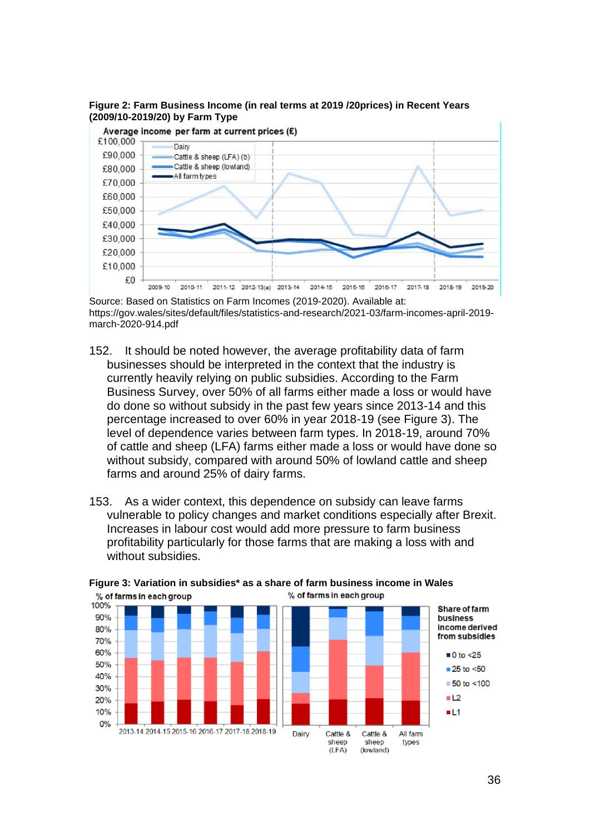

<span id="page-35-0"></span>**Figure 2: Farm Business Income (in real terms at 2019 /20prices) in Recent Years (2009/10-2019/20) by Farm Type** 

Source: Based on Statistics on Farm Incomes (2019-2020). Available at: https://gov.wales/sites/default/files/statistics-and-research/2021-03/farm-incomes-april-2019 march-2020-914.pdf

2014-15 2015-16

2016-17

2017-18

2018-19

2019-20

2011-12 2012-13(a) 2013-14

 $£0$ 

2009-10

2010-11

- 152. It should be noted however, the average profitability data of farm businesses should be interpreted in the context that the industry is currently heavily relying on public subsidies. According to the Farm Business Survey, over 50% of all farms either made a loss or would have do done so without subsidy in the past few years since 2013-14 and this percentage increased to over 60% in year 2018-19 (see [Figure 3\)](#page-35-1). The level of dependence varies between farm types. In 2018-19, around 70% of cattle and sheep (LFA) farms either made a loss or would have done so without subsidy, compared with around 50% of lowland cattle and sheep farms and around 25% of dairy farms.
- 153. As a wider context, this dependence on subsidy can leave farms vulnerable to policy changes and market conditions especially after Brexit. Increases in labour cost would add more pressure to farm business profitability particularly for those farms that are making a loss with and without subsidies.



<span id="page-35-1"></span>**Figure 3: Variation in subsidies\* as a share of farm business income in Wales** % of farms in each group % of farms in each group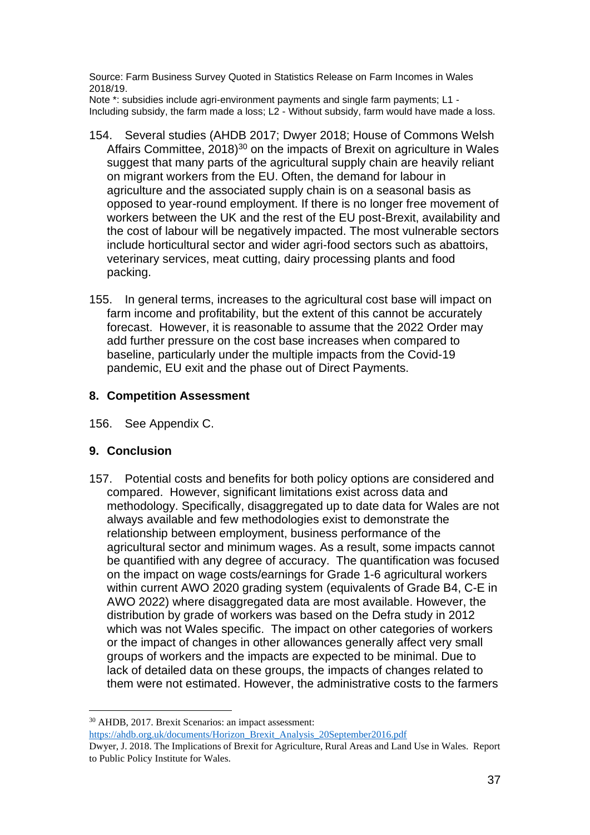Source: Farm Business Survey Quoted in Statistics Release on Farm Incomes in Wales 2018/19.

Note \*: subsidies include agri-environment payments and single farm payments; L1 - Including subsidy, the farm made a loss; L2 - Without subsidy, farm would have made a loss.

- 154. Several studies (AHDB 2017; Dwyer 2018; House of Commons Welsh Affairs Committee,  $2018$ <sup>30</sup> on the impacts of Brexit on agriculture in Wales suggest that many parts of the agricultural supply chain are heavily reliant on migrant workers from the EU. Often, the demand for labour in agriculture and the associated supply chain is on a seasonal basis as opposed to year-round employment. If there is no longer free movement of workers between the UK and the rest of the EU post-Brexit, availability and the cost of labour will be negatively impacted. The most vulnerable sectors include horticultural sector and wider agri-food sectors such as abattoirs, veterinary services, meat cutting, dairy processing plants and food packing.
- 155. In general terms, increases to the agricultural cost base will impact on farm income and profitability, but the extent of this cannot be accurately forecast. However, it is reasonable to assume that the 2022 Order may add further pressure on the cost base increases when compared to baseline, particularly under the multiple impacts from the Covid-19 pandemic, EU exit and the phase out of Direct Payments.

#### **8. Competition Assessment**

156. See Appendix C.

## **9. Conclusion**

157. Potential costs and benefits for both policy options are considered and compared. However, significant limitations exist across data and methodology. Specifically, disaggregated up to date data for Wales are not always available and few methodologies exist to demonstrate the relationship between employment, business performance of the agricultural sector and minimum wages. As a result, some impacts cannot be quantified with any degree of accuracy. The quantification was focused on the impact on wage costs/earnings for Grade 1-6 agricultural workers within current AWO 2020 grading system (equivalents of Grade B4, C-E in AWO 2022) where disaggregated data are most available. However, the distribution by grade of workers was based on the Defra study in 2012 which was not Wales specific. The impact on other categories of workers or the impact of changes in other allowances generally affect very small groups of workers and the impacts are expected to be minimal. Due to lack of detailed data on these groups, the impacts of changes related to them were not estimated. However, the administrative costs to the farmers

[https://ahdb.org.uk/documents/Horizon\\_Brexit\\_Analysis\\_20September2016.pdf](https://ahdb.org.uk/documents/Horizon_Brexit_Analysis_20September2016.pdf)

<sup>30</sup> AHDB, 2017. Brexit Scenarios: an impact assessment:

Dwyer, J. 2018. The Implications of Brexit for Agriculture, Rural Areas and Land Use in Wales. Report to Public Policy Institute for Wales.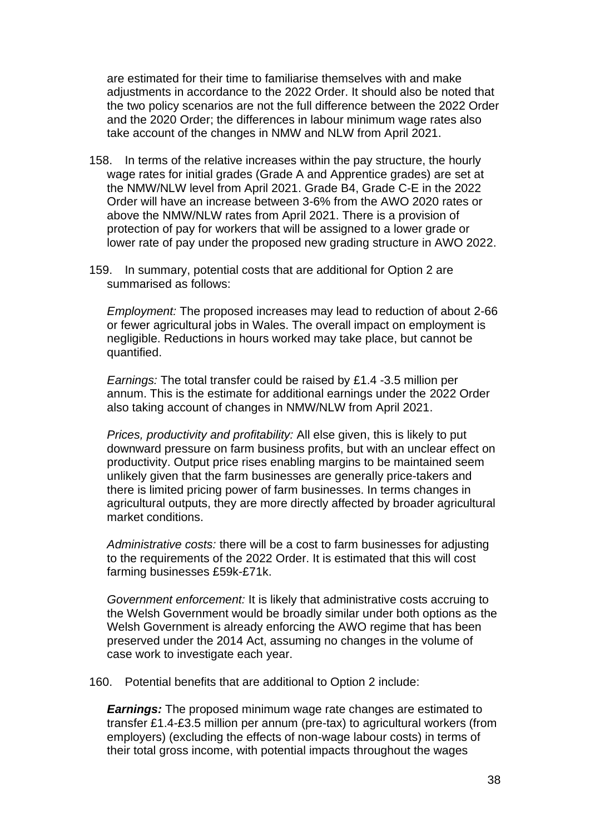are estimated for their time to familiarise themselves with and make adjustments in accordance to the 2022 Order. It should also be noted that the two policy scenarios are not the full difference between the 2022 Order and the 2020 Order; the differences in labour minimum wage rates also take account of the changes in NMW and NLW from April 2021.

- 158. In terms of the relative increases within the pay structure, the hourly wage rates for initial grades (Grade A and Apprentice grades) are set at the NMW/NLW level from April 2021. Grade B4, Grade C-E in the 2022 Order will have an increase between 3-6% from the AWO 2020 rates or above the NMW/NLW rates from April 2021. There is a provision of protection of pay for workers that will be assigned to a lower grade or lower rate of pay under the proposed new grading structure in AWO 2022.
- 159. In summary, potential costs that are additional for Option 2 are summarised as follows:

*Employment:* The proposed increases may lead to reduction of about 2-66 or fewer agricultural jobs in Wales. The overall impact on employment is negligible. Reductions in hours worked may take place, but cannot be quantified.

*Earnings:* The total transfer could be raised by £1.4 -3.5 million per annum. This is the estimate for additional earnings under the 2022 Order also taking account of changes in NMW/NLW from April 2021.

*Prices, productivity and profitability:* All else given, this is likely to put downward pressure on farm business profits, but with an unclear effect on productivity. Output price rises enabling margins to be maintained seem unlikely given that the farm businesses are generally price-takers and there is limited pricing power of farm businesses. In terms changes in agricultural outputs, they are more directly affected by broader agricultural market conditions.

*Administrative costs:* there will be a cost to farm businesses for adjusting to the requirements of the 2022 Order. It is estimated that this will cost farming businesses £59k-£71k.

*Government enforcement:* It is likely that administrative costs accruing to the Welsh Government would be broadly similar under both options as the Welsh Government is already enforcing the AWO regime that has been preserved under the 2014 Act, assuming no changes in the volume of case work to investigate each year.

160. Potential benefits that are additional to Option 2 include:

*Earnings:* The proposed minimum wage rate changes are estimated to transfer £1.4-£3.5 million per annum (pre-tax) to agricultural workers (from employers) (excluding the effects of non-wage labour costs) in terms of their total gross income, with potential impacts throughout the wages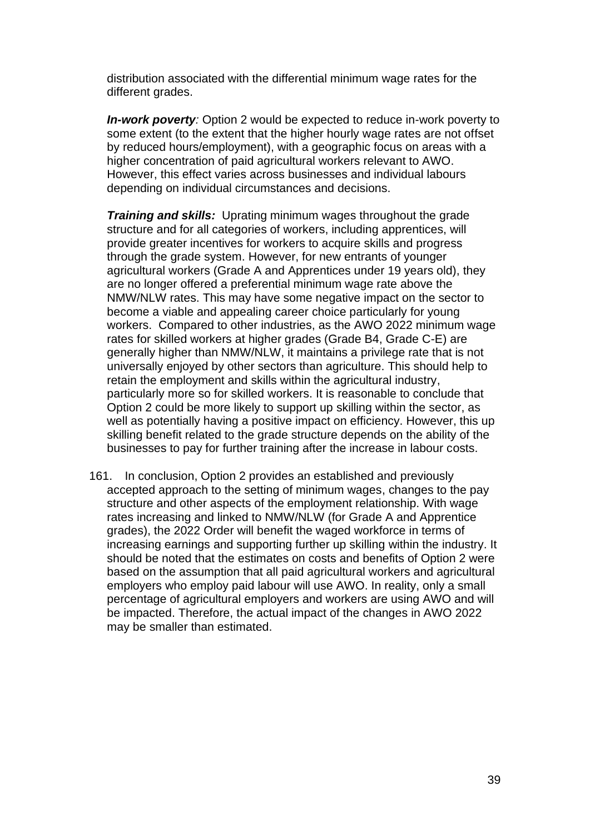distribution associated with the differential minimum wage rates for the different grades.

**In-work poverty**: Option 2 would be expected to reduce in-work poverty to some extent (to the extent that the higher hourly wage rates are not offset by reduced hours/employment), with a geographic focus on areas with a higher concentration of paid agricultural workers relevant to AWO. However, this effect varies across businesses and individual labours depending on individual circumstances and decisions.

*Training and skills:* Uprating minimum wages throughout the grade structure and for all categories of workers, including apprentices, will provide greater incentives for workers to acquire skills and progress through the grade system. However, for new entrants of younger agricultural workers (Grade A and Apprentices under 19 years old), they are no longer offered a preferential minimum wage rate above the NMW/NLW rates. This may have some negative impact on the sector to become a viable and appealing career choice particularly for young workers. Compared to other industries, as the AWO 2022 minimum wage rates for skilled workers at higher grades (Grade B4, Grade C-E) are generally higher than NMW/NLW, it maintains a privilege rate that is not universally enjoyed by other sectors than agriculture. This should help to retain the employment and skills within the agricultural industry, particularly more so for skilled workers. It is reasonable to conclude that Option 2 could be more likely to support up skilling within the sector, as well as potentially having a positive impact on efficiency. However, this up skilling benefit related to the grade structure depends on the ability of the businesses to pay for further training after the increase in labour costs.

161. In conclusion, Option 2 provides an established and previously accepted approach to the setting of minimum wages, changes to the pay structure and other aspects of the employment relationship. With wage rates increasing and linked to NMW/NLW (for Grade A and Apprentice grades), the 2022 Order will benefit the waged workforce in terms of increasing earnings and supporting further up skilling within the industry. It should be noted that the estimates on costs and benefits of Option 2 were based on the assumption that all paid agricultural workers and agricultural employers who employ paid labour will use AWO. In reality, only a small percentage of agricultural employers and workers are using AWO and will be impacted. Therefore, the actual impact of the changes in AWO 2022 may be smaller than estimated.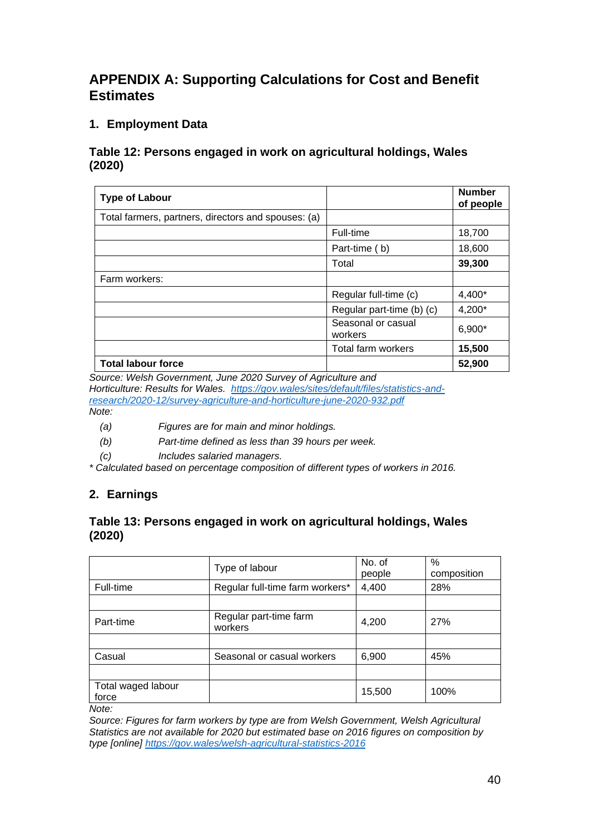## **APPENDIX A: Supporting Calculations for Cost and Benefit Estimates**

## **1. Employment Data**

#### <span id="page-39-0"></span>**Table 12: Persons engaged in work on agricultural holdings, Wales (2020)**

| <b>Type of Labour</b>                               |                               | <b>Number</b><br>of people |
|-----------------------------------------------------|-------------------------------|----------------------------|
| Total farmers, partners, directors and spouses: (a) |                               |                            |
|                                                     | Full-time                     | 18,700                     |
|                                                     | Part-time (b)                 | 18,600                     |
|                                                     | Total                         | 39,300                     |
| Farm workers:                                       |                               |                            |
|                                                     | Regular full-time (c)         | 4,400*                     |
|                                                     | Regular part-time (b) (c)     | 4,200*                     |
|                                                     | Seasonal or casual<br>workers | 6,900*                     |
|                                                     | Total farm workers            | 15,500                     |
| <b>Total labour force</b>                           |                               | 52,900                     |

*Source: Welsh Government, June 2020 Survey of Agriculture and*

*Horticulture: Results for Wales. [https://gov.wales/sites/default/files/statistics-and](https://gov.wales/sites/default/files/statistics-and-research/2020-12/survey-agriculture-and-horticulture-june-2020-932.pdf)[research/2020-12/survey-agriculture-and-horticulture-june-2020-932.pdf](https://gov.wales/sites/default/files/statistics-and-research/2020-12/survey-agriculture-and-horticulture-june-2020-932.pdf) Note:*

- *(a) Figures are for main and minor holdings.*
- *(b) Part-time defined as less than 39 hours per week.*
- *(c) Includes salaried managers.*

*\* Calculated based on percentage composition of different types of workers in 2016.*

## **2. Earnings**

## <span id="page-39-1"></span>**Table 13: Persons engaged in work on agricultural holdings, Wales (2020)**

|                             | Type of labour                    | No. of<br>people | %<br>composition |
|-----------------------------|-----------------------------------|------------------|------------------|
| Full-time                   | Regular full-time farm workers*   | 4,400            | 28%              |
|                             |                                   |                  |                  |
| Part-time                   | Regular part-time farm<br>workers | 4,200            | 27%              |
|                             |                                   |                  |                  |
| Casual                      | Seasonal or casual workers        | 6,900            | 45%              |
|                             |                                   |                  |                  |
| Total waged labour<br>force |                                   | 15,500           | 100%             |
| Note:                       |                                   |                  |                  |

*Source: Figures for farm workers by type are from Welsh Government, Welsh Agricultural Statistics are not available for 2020 but estimated base on 2016 figures on composition by type [online] <https://gov.wales/welsh-agricultural-statistics-2016>*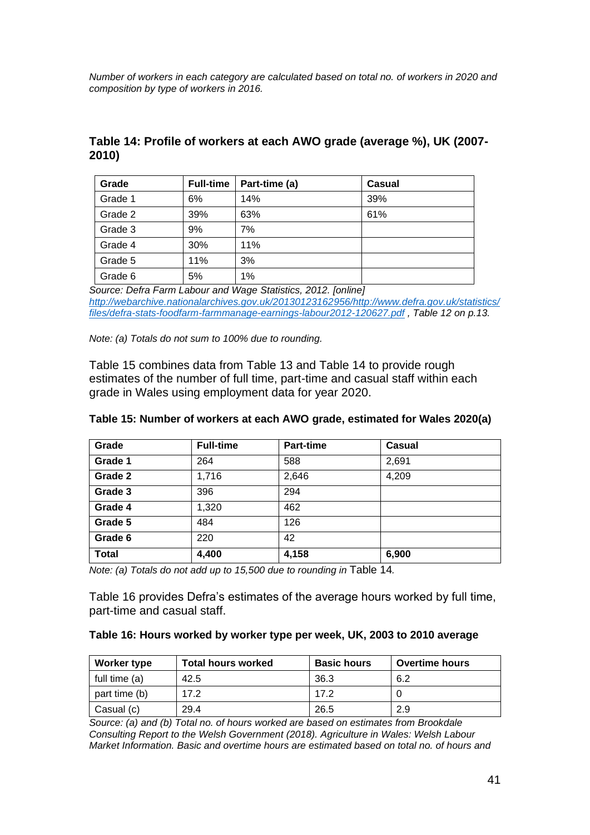*Number of workers in each category are calculated based on total no. of workers in 2020 and composition by type of workers in 2016.* 

| Grade   | <b>Full-time</b> | Part-time (a) | Casual |
|---------|------------------|---------------|--------|
| Grade 1 | 6%               | 14%           | 39%    |
| Grade 2 | 39%              | 63%           | 61%    |
| Grade 3 | 9%               | 7%            |        |
| Grade 4 | 30%              | 11%           |        |
| Grade 5 | 11%              | 3%            |        |
| Grade 6 | 5%               | 1%            |        |

## <span id="page-40-1"></span>**Table 14: Profile of workers at each AWO grade (average %), UK (2007- 2010)**

*Source: Defra Farm Labour and Wage Statistics, 2012. [online] [http://webarchive.nationalarchives.gov.uk/20130123162956/http://www.defra.gov.uk/statistics/](http://webarchive.nationalarchives.gov.uk/20130123162956/http:/www.defra.gov.uk/statistics/files/defra-stats-foodfarm-farmmanage-earnings-labour2012-120627.pdf) [files/defra-stats-foodfarm-farmmanage-earnings-labour2012-120627.pdf](http://webarchive.nationalarchives.gov.uk/20130123162956/http:/www.defra.gov.uk/statistics/files/defra-stats-foodfarm-farmmanage-earnings-labour2012-120627.pdf) , Table 12 on p.13.*

*Note: (a) Totals do not sum to 100% due to rounding.*

[Table 15](#page-40-0) combines data from [Table 13](#page-39-1) and [Table 14](#page-40-1) to provide rough estimates of the number of full time, part-time and casual staff within each grade in Wales using employment data for year 2020.

| Grade        | <b>Full-time</b> | <b>Part-time</b> | Casual |
|--------------|------------------|------------------|--------|
| Grade 1      | 264              | 588              | 2,691  |
| Grade 2      | 1,716            | 2,646            | 4,209  |
| Grade 3      | 396              | 294              |        |
| Grade 4      | 1,320            | 462              |        |
| Grade 5      | 484              | 126              |        |
| Grade 6      | 220              | 42               |        |
| <b>Total</b> | 4,400            | 4,158            | 6,900  |

#### <span id="page-40-0"></span>**Table 15: Number of workers at each AWO grade, estimated for Wales 2020(a)**

*Note: (a) Totals do not add up to 15,500 due to rounding in* [Table 14](#page-40-1)*.*

[Table 16](#page-40-2) provides Defra's estimates of the average hours worked by full time, part-time and casual staff.

#### <span id="page-40-2"></span>**Table 16: Hours worked by worker type per week, UK, 2003 to 2010 average**

| Worker type   | <b>Total hours worked</b> | <b>Basic hours</b> | <b>Overtime hours</b> |
|---------------|---------------------------|--------------------|-----------------------|
| full time (a) | 42.5                      | 36.3               | 6.2                   |
| part time (b) | 172                       | 17.2               |                       |
| Casual (c)    | 29.4                      | 26.5               | 2.9                   |

*Source: (a) and (b) Total no. of hours worked are based on estimates from Brookdale Consulting Report to the Welsh Government (2018). Agriculture in Wales: Welsh Labour Market Information. Basic and overtime hours are estimated based on total no. of hours and*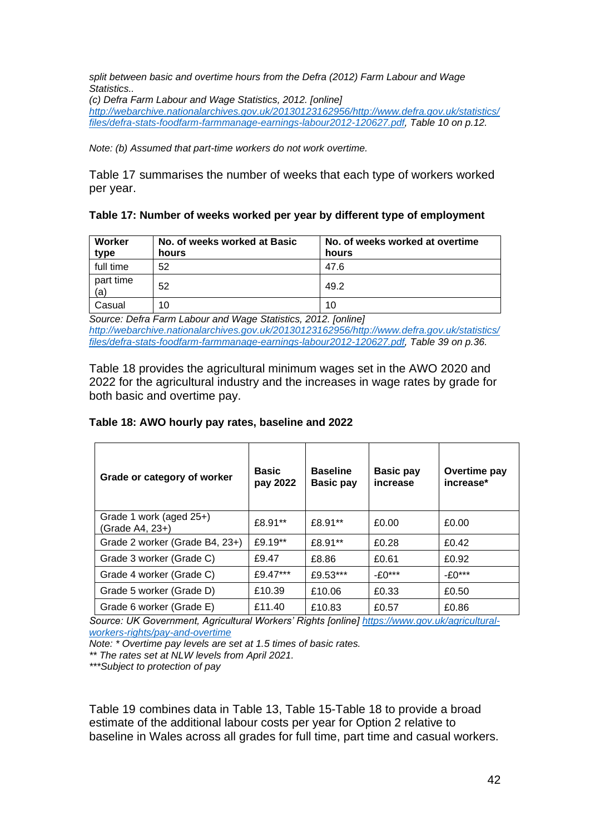*split between basic and overtime hours from the Defra (2012) Farm Labour and Wage Statistics..*

*(c) Defra Farm Labour and Wage Statistics, 2012. [online] [http://webarchive.nationalarchives.gov.uk/20130123162956/http://www.defra.gov.uk/statistics/](http://webarchive.nationalarchives.gov.uk/20130123162956/http:/www.defra.gov.uk/statistics/files/defra-stats-foodfarm-farmmanage-earnings-labour2012-120627.pdf) [files/defra-stats-foodfarm-farmmanage-earnings-labour2012-120627.pdf,](http://webarchive.nationalarchives.gov.uk/20130123162956/http:/www.defra.gov.uk/statistics/files/defra-stats-foodfarm-farmmanage-earnings-labour2012-120627.pdf) Table 10 on p.12.*

*Note: (b) Assumed that part-time workers do not work overtime.*

[Table 17](#page-41-0) summarises the number of weeks that each type of workers worked per year.

#### <span id="page-41-0"></span>**Table 17: Number of weeks worked per year by different type of employment**

| Worker<br>type   | No. of weeks worked at Basic<br>hours | No. of weeks worked at overtime<br>hours |
|------------------|---------------------------------------|------------------------------------------|
| full time        | 52                                    | 47.6                                     |
| part time<br>(a) | 52                                    | 49.2                                     |
| Casual           | 10                                    | 10                                       |

*Source: Defra Farm Labour and Wage Statistics, 2012. [online] [http://webarchive.nationalarchives.gov.uk/20130123162956/http://www.defra.gov.uk/statistics/](http://webarchive.nationalarchives.gov.uk/20130123162956/http:/www.defra.gov.uk/statistics/files/defra-stats-foodfarm-farmmanage-earnings-labour2012-120627.pdf) [files/defra-stats-foodfarm-farmmanage-earnings-labour2012-120627.pdf,](http://webarchive.nationalarchives.gov.uk/20130123162956/http:/www.defra.gov.uk/statistics/files/defra-stats-foodfarm-farmmanage-earnings-labour2012-120627.pdf) Table 39 on p.36.*

[Table 18](#page-41-1) provides the agricultural minimum wages set in the AWO 2020 and 2022 for the agricultural industry and the increases in wage rates by grade for both basic and overtime pay.

#### <span id="page-41-1"></span>**Table 18: AWO hourly pay rates, baseline and 2022**

| Grade or category of worker                | <b>Basic</b><br>pay 2022 | <b>Baseline</b><br><b>Basic pay</b> | <b>Basic pay</b><br>increase | Overtime pay<br>increase* |
|--------------------------------------------|--------------------------|-------------------------------------|------------------------------|---------------------------|
| Grade 1 work (aged 25+)<br>(Grade A4, 23+) | £8.91**                  | £8.91**                             | £0.00                        | £0.00                     |
| Grade 2 worker (Grade B4, 23+)             | £9.19**                  | £8.91**                             | £0.28                        | £0.42                     |
| Grade 3 worker (Grade C)                   | £9.47                    | £8.86                               | £0.61                        | £0.92                     |
| Grade 4 worker (Grade C)                   | £9.47***                 | £9.53***                            | $- f(0***$                   | $-£0***$                  |
| Grade 5 worker (Grade D)                   | £10.39                   | £10.06                              | £0.33                        | £0.50                     |
| Grade 6 worker (Grade E)                   | £11.40                   | £10.83                              | £0.57                        | £0.86                     |

*Source: UK Government, Agricultural Workers' Rights [online] [https://www.gov.uk/agricultural](https://www.gov.uk/agricultural-workers-rights/pay-and-overtime)[workers-rights/pay-and-overtime](https://www.gov.uk/agricultural-workers-rights/pay-and-overtime)*

*Note: \* Overtime pay levels are set at 1.5 times of basic rates.*

*\*\* The rates set at NLW levels from April 2021.*

*\*\*\*Subject to protection of pay* 

[Table 19](#page-42-0) combines data in [Table 13,](#page-39-1) [Table 15](#page-40-0)[-Table 18](#page-41-1) to provide a broad estimate of the additional labour costs per year for Option 2 relative to baseline in Wales across all grades for full time, part time and casual workers.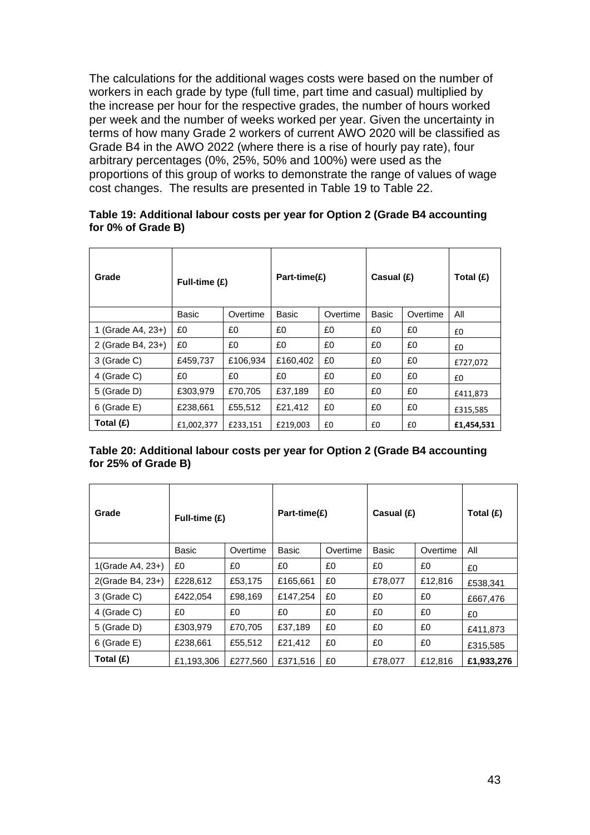The calculations for the additional wages costs were based on the number of workers in each grade by type (full time, part time and casual) multiplied by the increase per hour for the respective grades, the number of hours worked per week and the number of weeks worked per year. Given the uncertainty in terms of how many Grade 2 workers of current AWO 2020 will be classified as Grade B4 in the AWO 2022 (where there is a rise of hourly pay rate), four arbitrary percentages (0%, 25%, 50% and 100%) were used as the proportions of this group of works to demonstrate the range of values of wage cost changes. The results are presented in [Table 19](#page-42-0) to [Table 22.](#page-43-0)

#### <span id="page-42-0"></span>**Table 19: Additional labour costs per year for Option 2 (Grade B4 accounting for 0% of Grade B)**

| Grade             | Full-time (£) |          | Part-time(£) |          | Casual (£) |          | Total $(E)$ |
|-------------------|---------------|----------|--------------|----------|------------|----------|-------------|
|                   | Basic         | Overtime | Basic        | Overtime | Basic      | Overtime | All         |
| 1 (Grade A4, 23+) | £0            | £0       | £0           | £0       | £0         | £0       | £0          |
| 2 (Grade B4, 23+) | £0            | £0       | £0           | £0       | £0         | £0       | £0          |
| 3 (Grade C)       | £459,737      | £106,934 | £160,402     | £0       | £0         | £0       | £727,072    |
| 4 (Grade C)       | £0            | £0       | £0           | £0       | £0         | £0       | £0          |
| 5 (Grade D)       | £303,979      | £70,705  | £37,189      | £0       | £0         | £0       | £411,873    |
| 6 (Grade E)       | £238,661      | £55,512  | £21,412      | £0       | £0         | £0       | £315,585    |
| Total $(E)$       | £1,002,377    | £233,151 | £219,003     | £0       | £0         | £0       | £1,454,531  |

#### **Table 20: Additional labour costs per year for Option 2 (Grade B4 accounting for 25% of Grade B)**

| Grade            | Full-time (£) |          | Part-time(£) |          | Casual (£)   |          | Total (£)  |
|------------------|---------------|----------|--------------|----------|--------------|----------|------------|
|                  | <b>Basic</b>  | Overtime | <b>Basic</b> | Overtime | <b>Basic</b> | Overtime | All        |
| 1(Grade A4, 23+) | £0            | £0       | £0           | £0       | £0           | £0       | £0         |
| 2(Grade B4, 23+) | £228.612      | £53.175  | £165.661     | £0       | £78,077      | £12,816  | £538.341   |
| 3 (Grade C)      | £422.054      | £98.169  | £147.254     | £0       | £0           | £0       | £667.476   |
| 4 (Grade C)      | £0            | £0       | £0           | £0       | £0           | £0       | £0         |
| 5 (Grade D)      | £303,979      | £70,705  | £37,189      | £0       | £0           | £0       | £411,873   |
| 6 (Grade E)      | £238,661      | £55,512  | £21,412      | £0       | £0           | £0       | £315,585   |
| Total $(E)$      | £1,193,306    | £277,560 | £371,516     | £0       | £78,077      | £12,816  | £1,933,276 |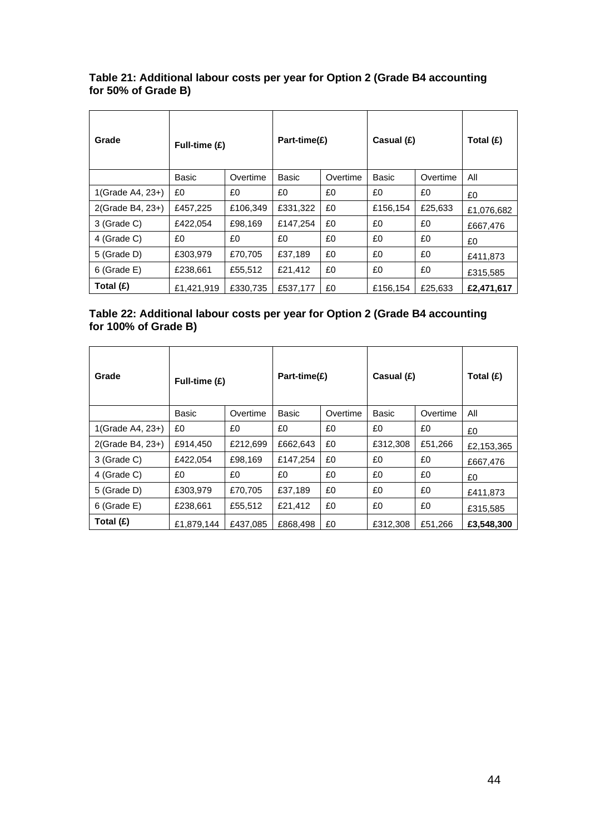#### **Table 21: Additional labour costs per year for Option 2 (Grade B4 accounting for 50% of Grade B)**

| Grade            | Full-time (£) |          | Part-time(£) |          | Casual (£) |          | Total $(E)$ |
|------------------|---------------|----------|--------------|----------|------------|----------|-------------|
|                  | Basic         | Overtime | Basic        | Overtime | Basic      | Overtime | All         |
| 1(Grade A4, 23+) | £0            | £0       | £0           | £0       | £0         | £0       | £0          |
| 2(Grade B4, 23+) | £457,225      | £106,349 | £331,322     | £0       | £156,154   | £25,633  | £1,076,682  |
| 3 (Grade C)      | £422,054      | £98,169  | £147,254     | £0       | £0         | £0       | £667.476    |
| 4 (Grade C)      | £0            | £0       | £0           | £0       | £0         | £0       | £0          |
| 5 (Grade D)      | £303,979      | £70,705  | £37,189      | £0       | £0         | £0       | £411,873    |
| 6 (Grade E)      | £238,661      | £55,512  | £21,412      | £0       | £0         | £0       | £315,585    |
| Total $(E)$      | £1,421,919    | £330,735 | £537,177     | £0       | £156,154   | £25,633  | £2,471,617  |

#### <span id="page-43-0"></span>**Table 22: Additional labour costs per year for Option 2 (Grade B4 accounting for 100% of Grade B)**

| Grade            | Full-time (£) |          | Part-time(£) |          | Casual (£) |          | Total (£)  |
|------------------|---------------|----------|--------------|----------|------------|----------|------------|
|                  | Basic         | Overtime | Basic        | Overtime | Basic      | Overtime | All        |
| 1(Grade A4, 23+) | £0            | £0       | £0           | £0       | £0         | £0       | £0         |
| 2(Grade B4, 23+) | £914,450      | £212,699 | £662,643     | £0       | £312,308   | £51,266  | £2,153,365 |
| 3 (Grade C)      | £422,054      | £98,169  | £147,254     | £0       | £0         | £0       | £667.476   |
| 4 (Grade C)      | £0            | £0       | £0           | £0       | £0         | £0       | £0         |
| 5 (Grade D)      | £303,979      | £70,705  | £37,189      | £0       | £0         | £0       | £411,873   |
| 6 (Grade E)      | £238,661      | £55,512  | £21,412      | £0       | £0         | £0       | £315,585   |
| Total $(E)$      | £1.879.144    | £437.085 | £868.498     | £0       | £312,308   | £51.266  | £3.548.300 |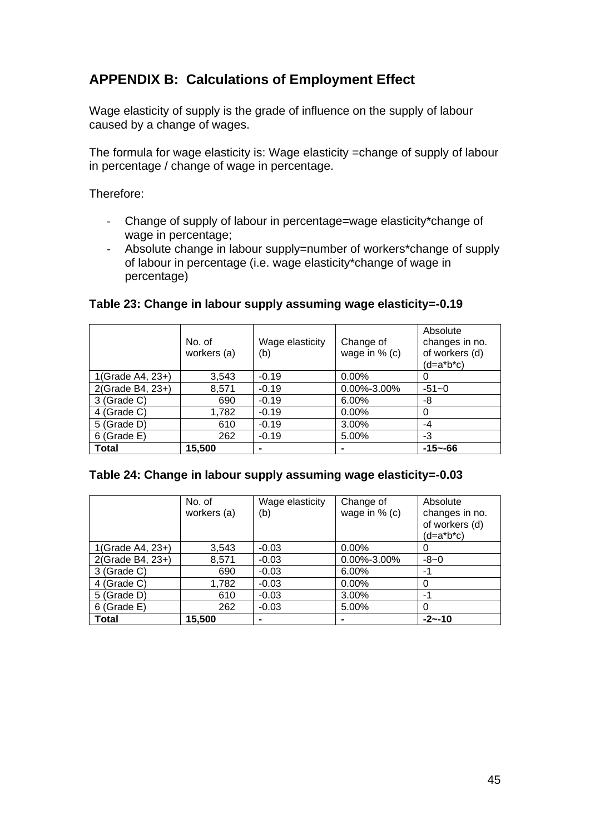## **APPENDIX B: Calculations of Employment Effect**

Wage elasticity of supply is the grade of influence on the supply of labour caused by a change of wages.

The formula for wage elasticity is: Wage elasticity =change of supply of labour in percentage / change of wage in percentage.

Therefore:

- Change of supply of labour in percentage=wage elasticity\*change of wage in percentage;
- Absolute change in labour supply=number of workers\*change of supply of labour in percentage (i.e. wage elasticity\*change of wage in percentage)

|                  | No. of<br>workers (a) | Wage elasticity<br>(b) | Change of<br>wage in $%$ (c) | Absolute<br>changes in no.<br>of workers (d)<br>$(d=a*b*c)$ |
|------------------|-----------------------|------------------------|------------------------------|-------------------------------------------------------------|
| 1(Grade A4, 23+) | 3,543                 | $-0.19$                | 0.00%                        | O                                                           |
| 2(Grade B4, 23+) | 8,571                 | $-0.19$                | 0.00%-3.00%                  | $-51 - 0$                                                   |
| 3 (Grade C)      | 690                   | $-0.19$                | 6.00%                        | -8                                                          |
| 4 (Grade C)      | 1,782                 | $-0.19$                | 0.00%                        | 0                                                           |
| 5 (Grade D)      | 610                   | $-0.19$                | 3.00%                        | -4                                                          |
| 6 (Grade E)      | 262                   | $-0.19$                | 5.00%                        | -3                                                          |
| <b>Total</b>     | 15,500                |                        | $\blacksquare$               | $-15 - -66$                                                 |

#### <span id="page-44-0"></span>**Table 23: Change in labour supply assuming wage elasticity=-0.19**

#### <span id="page-44-1"></span>**Table 24: Change in labour supply assuming wage elasticity=-0.03**

|                  | No. of<br>workers (a) | Wage elasticity<br>(b) | Change of<br>wage in $%$ (c) | Absolute<br>changes in no.<br>of workers (d)<br>$(d=a*b*c)$ |
|------------------|-----------------------|------------------------|------------------------------|-------------------------------------------------------------|
| 1(Grade A4, 23+) | 3,543                 | $-0.03$                | $0.00\%$                     | O                                                           |
| 2(Grade B4, 23+) | 8,571                 | $-0.03$                | 0.00%-3.00%                  | $-8-0$                                                      |
| 3 (Grade C)      | 690                   | $-0.03$                | 6.00%                        | -1                                                          |
| 4 (Grade C)      | 1,782                 | $-0.03$                | $0.00\%$                     | 0                                                           |
| 5 (Grade D)      | 610                   | $-0.03$                | 3.00%                        | -1                                                          |
| $6$ (Grade E)    | 262                   | $-0.03$                | 5.00%                        | 0                                                           |
| Total            | 15,500                | -                      |                              | $-2 - 10$                                                   |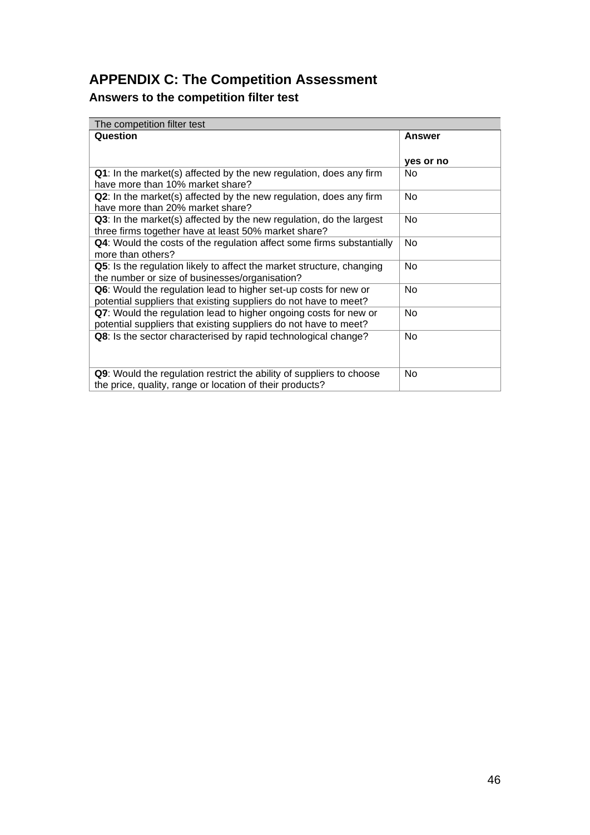# **APPENDIX C: The Competition Assessment**

# **Answers to the competition filter test**

| The competition filter test                                                                            |               |  |  |  |  |
|--------------------------------------------------------------------------------------------------------|---------------|--|--|--|--|
| Question                                                                                               | <b>Answer</b> |  |  |  |  |
|                                                                                                        |               |  |  |  |  |
|                                                                                                        | yes or no     |  |  |  |  |
| Q1: In the market(s) affected by the new regulation, does any firm<br>have more than 10% market share? | No.           |  |  |  |  |
| Q2: In the market(s) affected by the new regulation, does any firm                                     | <b>No</b>     |  |  |  |  |
| have more than 20% market share?                                                                       |               |  |  |  |  |
| Q3: In the market(s) affected by the new regulation, do the largest                                    | <b>No</b>     |  |  |  |  |
| three firms together have at least 50% market share?                                                   |               |  |  |  |  |
| Q4: Would the costs of the regulation affect some firms substantially                                  | <b>No</b>     |  |  |  |  |
| more than others?                                                                                      |               |  |  |  |  |
| Q5: Is the regulation likely to affect the market structure, changing                                  | No            |  |  |  |  |
| the number or size of businesses/organisation?                                                         |               |  |  |  |  |
| Q6: Would the regulation lead to higher set-up costs for new or                                        | No            |  |  |  |  |
| potential suppliers that existing suppliers do not have to meet?                                       |               |  |  |  |  |
| Q7: Would the regulation lead to higher ongoing costs for new or                                       | <b>No</b>     |  |  |  |  |
| potential suppliers that existing suppliers do not have to meet?                                       |               |  |  |  |  |
| Q8: Is the sector characterised by rapid technological change?                                         | No            |  |  |  |  |
|                                                                                                        |               |  |  |  |  |
|                                                                                                        |               |  |  |  |  |
| Q9: Would the regulation restrict the ability of suppliers to choose                                   | No            |  |  |  |  |
| the price, quality, range or location of their products?                                               |               |  |  |  |  |